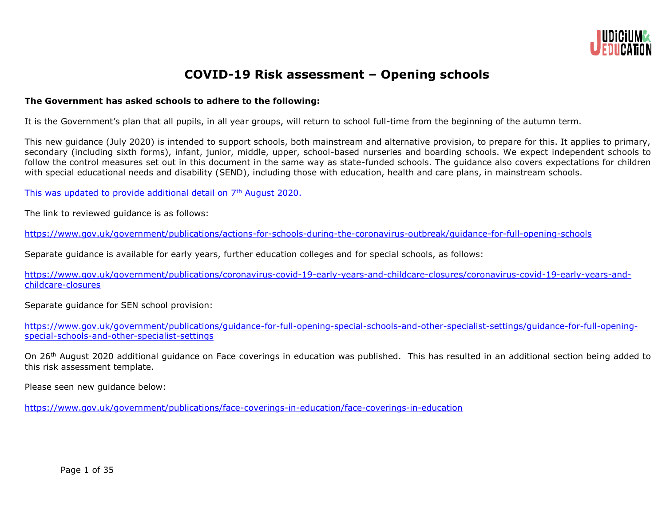

## **COVID-19 Risk assessment – Opening schools**

## **The Government has asked schools to adhere to the following:**

It is the Government's plan that all pupils, in all year groups, will return to school full-time from the beginning of the autumn term.

This new guidance (July 2020) is intended to support schools, both mainstream and alternative provision, to prepare for this. It applies to primary, secondary (including sixth forms), infant, junior, middle, upper, school-based nurseries and boarding schools. We expect independent schools to follow the control measures set out in this document in the same way as state-funded schools. The quidance also covers expectations for children with special educational needs and disability (SEND), including those with education, health and care plans, in mainstream schools.

This was updated to provide additional detail on 7<sup>th</sup> August 2020.

The link to reviewed guidance is as follows:

<https://www.gov.uk/government/publications/actions-for-schools-during-the-coronavirus-outbreak/guidance-for-full-opening-schools>

Separate guidance is available for early years, further education colleges and for special schools, as follows:

[https://www.gov.uk/government/publications/coronavirus-covid-19-early-years-and-childcare-closures/coronavirus-covid-19-early-years-and](https://www.gov.uk/government/publications/coronavirus-covid-19-early-years-and-childcare-closures/coronavirus-covid-19-early-years-and-childcare-closures)[childcare-closures](https://www.gov.uk/government/publications/coronavirus-covid-19-early-years-and-childcare-closures/coronavirus-covid-19-early-years-and-childcare-closures)

Separate guidance for SEN school provision:

[https://www.gov.uk/government/publications/guidance-for-full-opening-special-schools-and-other-specialist-settings/guidance-for-full-opening](https://www.gov.uk/government/publications/guidance-for-full-opening-special-schools-and-other-specialist-settings/guidance-for-full-opening-special-schools-and-other-specialist-settings)[special-schools-and-other-specialist-settings](https://www.gov.uk/government/publications/guidance-for-full-opening-special-schools-and-other-specialist-settings/guidance-for-full-opening-special-schools-and-other-specialist-settings)

On 26<sup>th</sup> August 2020 additional guidance on Face coverings in education was published. This has resulted in an additional section being added to this risk assessment template.

Please seen new guidance below:

<https://www.gov.uk/government/publications/face-coverings-in-education/face-coverings-in-education>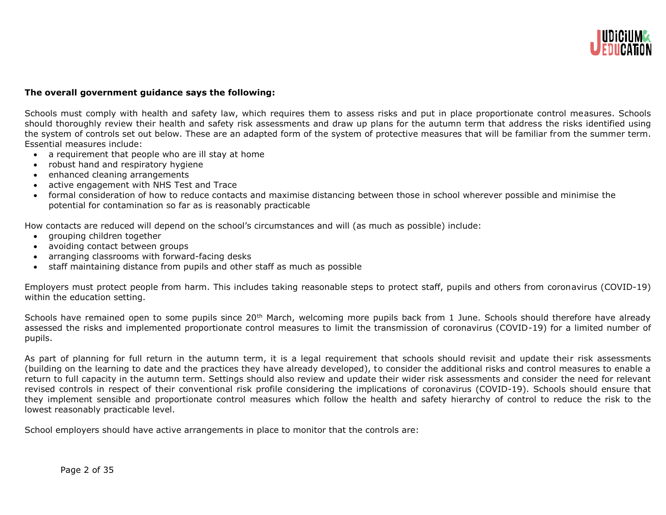

#### **The overall government guidance says the following:**

Schools must comply with health and safety law, which requires them to assess risks and put in place proportionate control measures. Schools should thoroughly review their health and safety risk assessments and draw up plans for the autumn term that address the risks identified using the system of controls set out below. These are an adapted form of the system of protective measures that will be familiar from the summer term. Essential measures include:

- a requirement that people who are ill stay at home
- robust hand and respiratory hygiene
- enhanced cleaning arrangements
- active engagement with NHS Test and Trace
- formal consideration of how to reduce contacts and maximise distancing between those in school wherever possible and minimise the potential for contamination so far as is reasonably practicable

How contacts are reduced will depend on the school's circumstances and will (as much as possible) include:

- grouping children together
- avoiding contact between groups
- arranging classrooms with forward-facing desks
- staff maintaining distance from pupils and other staff as much as possible

Employers must protect people from harm. This includes taking reasonable steps to protect staff, pupils and others from coronavirus (COVID-19) within the education setting.

Schools have remained open to some pupils since 20<sup>th</sup> March, welcoming more pupils back from 1 June. Schools should therefore have already assessed the risks and implemented proportionate control measures to limit the transmission of coronavirus (COVID-19) for a limited number of pupils.

As part of planning for full return in the autumn term, it is a legal requirement that schools should revisit and update their risk assessments (building on the learning to date and the practices they have already developed), to consider the additional risks and control measures to enable a return to full capacity in the autumn term. Settings should also review and update their wider risk assessments and consider the need for relevant revised controls in respect of their conventional risk profile considering the implications of coronavirus (COVID-19). Schools should ensure that they implement sensible and proportionate control measures which follow the health and safety hierarchy of control to reduce the risk to the lowest reasonably practicable level.

School employers should have active arrangements in place to monitor that the controls are: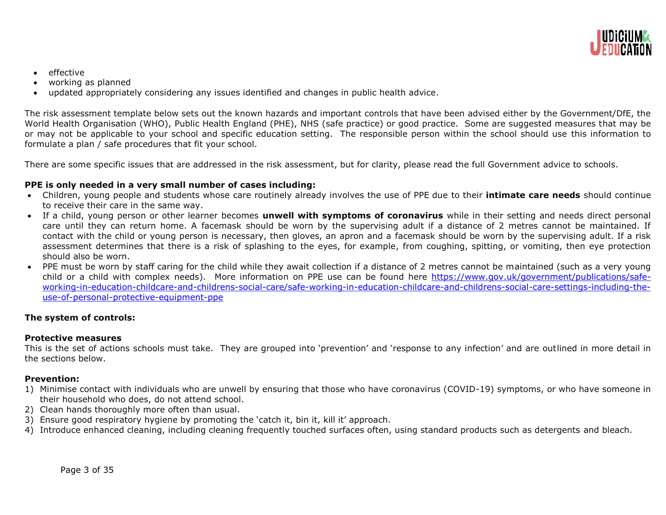

- $\bullet$  effective
- working as planned
- updated appropriately considering any issues identified and changes in public health advice.

The risk assessment template below sets out the known hazards and important controls that have been advised either by the Government/DfE, the World Health Organisation (WHO), Public Health England (PHE), NHS (safe practice) or good practice. Some are suggested measures that may be or may not be applicable to your school and specific education setting. The responsible person within the school should use this information to formulate a plan / safe procedures that fit your school.

There are some specific issues that are addressed in the risk assessment, but for clarity, please read the full Government advice to schools.

## **PPE is only needed in a very small number of cases including:**

- Children, young people and students whose care routinely already involves the use of PPE due to their **intimate care needs** should continue to receive their care in the same way.
- If a child, young person or other learner becomes **unwell with symptoms of coronavirus** while in their setting and needs direct personal care until they can return home. A facemask should be worn by the supervising adult if a distance of 2 metres cannot be maintained. If contact with the child or young person is necessary, then gloves, an apron and a facemask should be worn by the supervising adult. If a risk assessment determines that there is a risk of splashing to the eyes, for example, from coughing, spitting, or vomiting, then eye protection should also be worn.
- PPE must be worn by staff caring for the child while they await collection if a distance of 2 metres cannot be maintained (such as a very young child or a child with complex needs). More information on PPE use can be found here [https://www.gov.uk/government/publications/safe](https://www.gov.uk/government/publications/safe-working-in-education-childcare-and-childrens-social-care/safe-working-in-education-childcare-and-childrens-social-care-settings-including-the-use-of-personal-protective-equipment-ppe)[working-in-education-childcare-and-childrens-social-care/safe-working-in-education-childcare-and-childrens-social-care-settings-including-the](https://www.gov.uk/government/publications/safe-working-in-education-childcare-and-childrens-social-care/safe-working-in-education-childcare-and-childrens-social-care-settings-including-the-use-of-personal-protective-equipment-ppe)[use-of-personal-protective-equipment-ppe](https://www.gov.uk/government/publications/safe-working-in-education-childcare-and-childrens-social-care/safe-working-in-education-childcare-and-childrens-social-care-settings-including-the-use-of-personal-protective-equipment-ppe)

## **The system of controls:**

#### **Protective measures**

This is the set of actions schools must take. They are grouped into 'prevention' and 'response to any infection' and are outlined in more detail in the sections below.

## **Prevention:**

- 1) Minimise contact with individuals who are unwell by ensuring that those who have coronavirus (COVID-19) symptoms, or who have someone in their household who does, do not attend school.
- 2) Clean hands thoroughly more often than usual.
- 3) Ensure good respiratory hygiene by promoting the 'catch it, bin it, kill it' approach.
- 4) Introduce enhanced cleaning, including cleaning frequently touched surfaces often, using standard products such as detergents and bleach.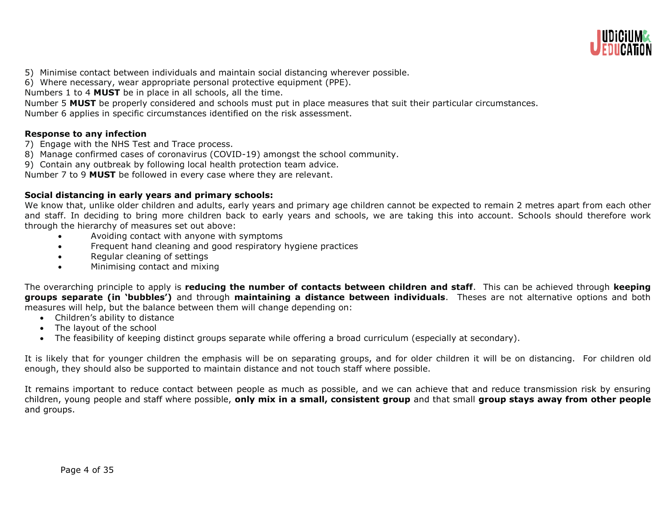

- 5) Minimise contact between individuals and maintain social distancing wherever possible.
- 6) Where necessary, wear appropriate personal protective equipment (PPE).

Numbers 1 to 4 **MUST** be in place in all schools, all the time.

Number 5 **MUST** be properly considered and schools must put in place measures that suit their particular circumstances.

Number 6 applies in specific circumstances identified on the risk assessment.

## **Response to any infection**

- 7) Engage with the NHS Test and Trace process.
- 8) Manage confirmed cases of coronavirus (COVID-19) amongst the school community.
- 9) Contain any outbreak by following local health protection team advice.

Number 7 to 9 **MUST** be followed in every case where they are relevant.

## **Social distancing in early years and primary schools:**

We know that, unlike older children and adults, early years and primary age children cannot be expected to remain 2 metres apart from each other and staff. In deciding to bring more children back to early years and schools, we are taking this into account. Schools should therefore work through the hierarchy of measures set out above:

- Avoiding contact with anyone with symptoms
- Frequent hand cleaning and good respiratory hygiene practices
- Regular cleaning of settings
- Minimising contact and mixing

The overarching principle to apply is **reducing the number of contacts between children and staff**. This can be achieved through **keeping groups separate (in 'bubbles')** and through **maintaining a distance between individuals**. Theses are not alternative options and both measures will help, but the balance between them will change depending on:

- Children's ability to distance
- The layout of the school
- The feasibility of keeping distinct groups separate while offering a broad curriculum (especially at secondary).

It is likely that for younger children the emphasis will be on separating groups, and for older children it will be on distancing. For children old enough, they should also be supported to maintain distance and not touch staff where possible.

It remains important to reduce contact between people as much as possible, and we can achieve that and reduce transmission risk by ensuring children, young people and staff where possible, **only mix in a small, consistent group** and that small **group stays away from other people** and groups.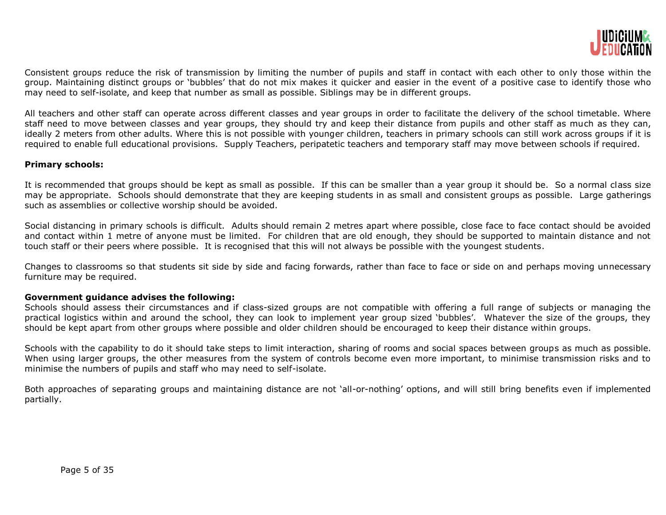

Consistent groups reduce the risk of transmission by limiting the number of pupils and staff in contact with each other to only those within the group. Maintaining distinct groups or 'bubbles' that do not mix makes it quicker and easier in the event of a positive case to identify those who may need to self-isolate, and keep that number as small as possible. Siblings may be in different groups.

All teachers and other staff can operate across different classes and year groups in order to facilitate the delivery of the school timetable. Where staff need to move between classes and year groups, they should try and keep their distance from pupils and other staff as much as they can, ideally 2 meters from other adults. Where this is not possible with younger children, teachers in primary schools can still work across groups if it is required to enable full educational provisions. Supply Teachers, peripatetic teachers and temporary staff may move between schools if required.

#### **Primary schools:**

It is recommended that groups should be kept as small as possible. If this can be smaller than a year group it should be. So a normal class size may be appropriate. Schools should demonstrate that they are keeping students in as small and consistent groups as possible. Large gatherings such as assemblies or collective worship should be avoided.

Social distancing in primary schools is difficult. Adults should remain 2 metres apart where possible, close face to face contact should be avoided and contact within 1 metre of anyone must be limited. For children that are old enough, they should be supported to maintain distance and not touch staff or their peers where possible. It is recognised that this will not always be possible with the youngest students.

Changes to classrooms so that students sit side by side and facing forwards, rather than face to face or side on and perhaps moving unnecessary furniture may be required.

## **Government guidance advises the following:**

Schools should assess their circumstances and if class-sized groups are not compatible with offering a full range of subjects or managing the practical logistics within and around the school, they can look to implement year group sized 'bubbles'. Whatever the size of the groups, they should be kept apart from other groups where possible and older children should be encouraged to keep their distance within groups.

Schools with the capability to do it should take steps to limit interaction, sharing of rooms and social spaces between groups as much as possible. When using larger groups, the other measures from the system of controls become even more important, to minimise transmission risks and to minimise the numbers of pupils and staff who may need to self-isolate.

Both approaches of separating groups and maintaining distance are not 'all-or-nothing' options, and will still bring benefits even if implemented partially.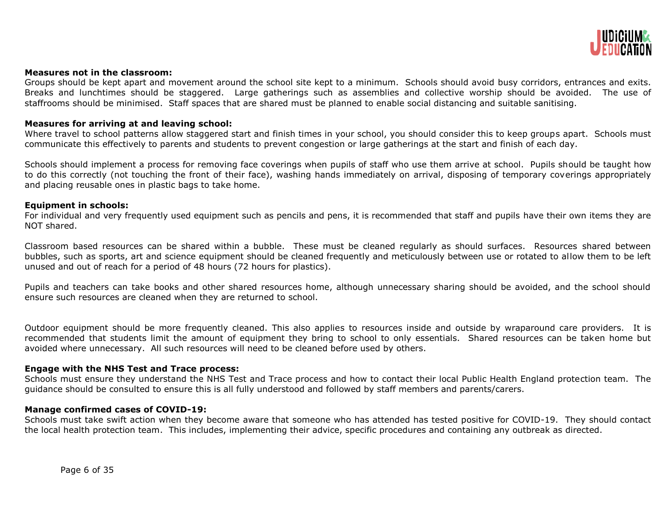

#### **Measures not in the classroom:**

Groups should be kept apart and movement around the school site kept to a minimum. Schools should avoid busy corridors, entrances and exits. Breaks and lunchtimes should be staggered. Large gatherings such as assemblies and collective worship should be avoided. The use of staffrooms should be minimised. Staff spaces that are shared must be planned to enable social distancing and suitable sanitising.

#### **Measures for arriving at and leaving school:**

Where travel to school patterns allow staggered start and finish times in your school, you should consider this to keep groups apart. Schools must communicate this effectively to parents and students to prevent congestion or large gatherings at the start and finish of each day.

Schools should implement a process for removing face coverings when pupils of staff who use them arrive at school. Pupils should be taught how to do this correctly (not touching the front of their face), washing hands immediately on arrival, disposing of temporary coverings appropriately and placing reusable ones in plastic bags to take home.

#### **Equipment in schools:**

For individual and very frequently used equipment such as pencils and pens, it is recommended that staff and pupils have their own items they are NOT shared.

Classroom based resources can be shared within a bubble. These must be cleaned regularly as should surfaces. Resources shared between bubbles, such as sports, art and science equipment should be cleaned frequently and meticulously between use or rotated to allow them to be left unused and out of reach for a period of 48 hours (72 hours for plastics).

Pupils and teachers can take books and other shared resources home, although unnecessary sharing should be avoided, and the school should ensure such resources are cleaned when they are returned to school.

Outdoor equipment should be more frequently cleaned. This also applies to resources inside and outside by wraparound care providers. It is recommended that students limit the amount of equipment they bring to school to only essentials. Shared resources can be taken home but avoided where unnecessary. All such resources will need to be cleaned before used by others.

#### **Engage with the NHS Test and Trace process:**

Schools must ensure they understand the NHS Test and Trace process and how to contact their local Public Health England protection team. The guidance should be consulted to ensure this is all fully understood and followed by staff members and parents/carers.

#### **Manage confirmed cases of COVID-19:**

Schools must take swift action when they become aware that someone who has attended has tested positive for COVID-19. They should contact the local health protection team. This includes, implementing their advice, specific procedures and containing any outbreak as directed.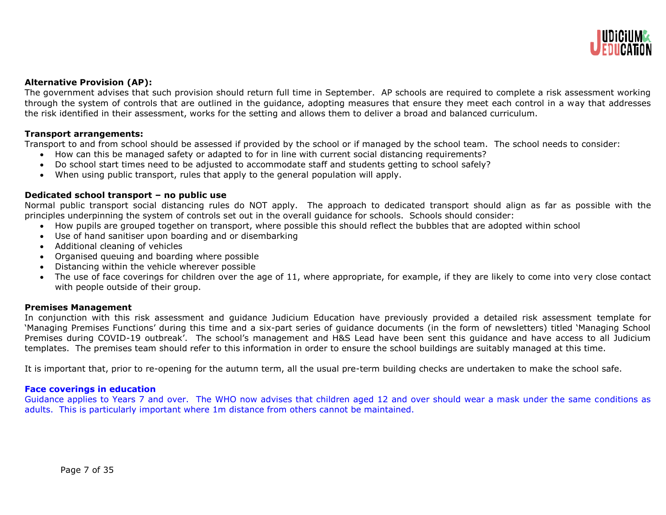

## **Alternative Provision (AP):**

The government advises that such provision should return full time in September. AP schools are required to complete a risk assessment working through the system of controls that are outlined in the guidance, adopting measures that ensure they meet each control in a way that addresses the risk identified in their assessment, works for the setting and allows them to deliver a broad and balanced curriculum.

#### **Transport arrangements:**

Transport to and from school should be assessed if provided by the school or if managed by the school team. The school needs to consider:

- How can this be managed safety or adapted to for in line with current social distancing requirements?
- Do school start times need to be adjusted to accommodate staff and students getting to school safely?
- When using public transport, rules that apply to the general population will apply.

## **Dedicated school transport – no public use**

Normal public transport social distancing rules do NOT apply. The approach to dedicated transport should align as far as possible with the principles underpinning the system of controls set out in the overall guidance for schools. Schools should consider:

- How pupils are grouped together on transport, where possible this should reflect the bubbles that are adopted within school
- Use of hand sanitiser upon boarding and or disembarking
- Additional cleaning of vehicles
- Organised queuing and boarding where possible
- Distancing within the vehicle wherever possible
- The use of face coverings for children over the age of 11, where appropriate, for example, if they are likely to come into very close contact with people outside of their group.

#### **Premises Management**

In conjunction with this risk assessment and guidance Judicium Education have previously provided a detailed risk assessment template for 'Managing Premises Functions' during this time and a six-part series of guidance documents (in the form of newsletters) titled 'Managing School Premises during COVID-19 outbreak'. The school's management and H&S Lead have been sent this guidance and have access to all Judicium templates. The premises team should refer to this information in order to ensure the school buildings are suitably managed at this time.

It is important that, prior to re-opening for the autumn term, all the usual pre-term building checks are undertaken to make the school safe.

#### **Face coverings in education**

Guidance applies to Years 7 and over. The WHO now advises that children aged 12 and over should wear a mask under the same conditions as adults. This is particularly important where 1m distance from others cannot be maintained.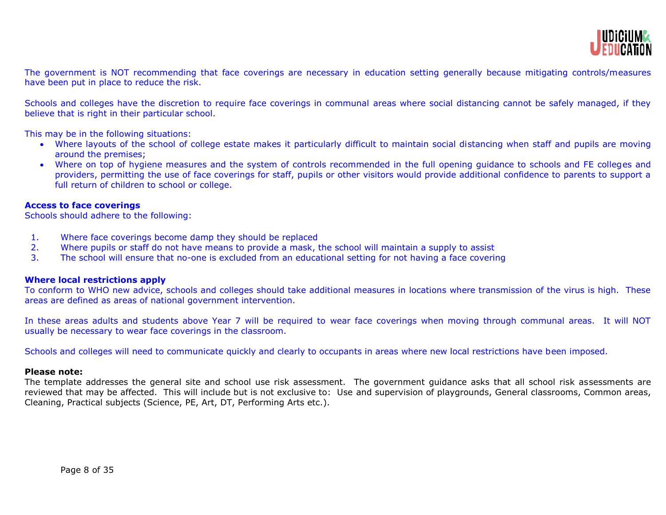

The government is NOT recommending that face coverings are necessary in education setting generally because mitigating controls/measures have been put in place to reduce the risk.

Schools and colleges have the discretion to require face coverings in communal areas where social distancing cannot be safely managed, if they believe that is right in their particular school.

This may be in the following situations:

- Where layouts of the school of college estate makes it particularly difficult to maintain social distancing when staff and pupils are moving around the premises;
- Where on top of hygiene measures and the system of controls recommended in the full opening guidance to schools and FE colleges and providers, permitting the use of face coverings for staff, pupils or other visitors would provide additional confidence to parents to support a full return of children to school or college.

## **Access to face coverings**

Schools should adhere to the following:

- 1. Where face coverings become damp they should be replaced
- 2. Where pupils or staff do not have means to provide a mask, the school will maintain a supply to assist
- 3. The school will ensure that no-one is excluded from an educational setting for not having a face covering

#### **Where local restrictions apply**

To conform to WHO new advice, schools and colleges should take additional measures in locations where transmission of the virus is high. These areas are defined as areas of national government intervention.

In these areas adults and students above Year 7 will be required to wear face coverings when moving through communal areas. It will NOT usually be necessary to wear face coverings in the classroom.

Schools and colleges will need to communicate quickly and clearly to occupants in areas where new local restrictions have been imposed.

#### **Please note:**

The template addresses the general site and school use risk assessment. The government guidance asks that all school risk assessments are reviewed that may be affected. This will include but is not exclusive to: Use and supervision of playgrounds, General classrooms, Common areas, Cleaning, Practical subjects (Science, PE, Art, DT, Performing Arts etc.).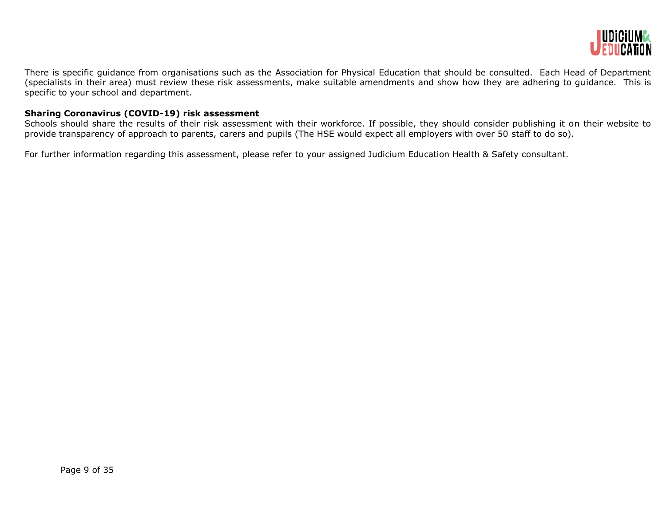

There is specific guidance from organisations such as the Association for Physical Education that should be consulted. Each Head of Department (specialists in their area) must review these risk assessments, make suitable amendments and show how they are adhering to guidance. This is specific to your school and department.

## **Sharing Coronavirus (COVID-19) risk assessment**

Schools should share the results of their risk assessment with their workforce. If possible, they should consider publishing it on their website to provide transparency of approach to parents, carers and pupils (The HSE would expect all employers with over 50 staff to do so).

For further information regarding this assessment, please refer to your assigned Judicium Education Health & Safety consultant.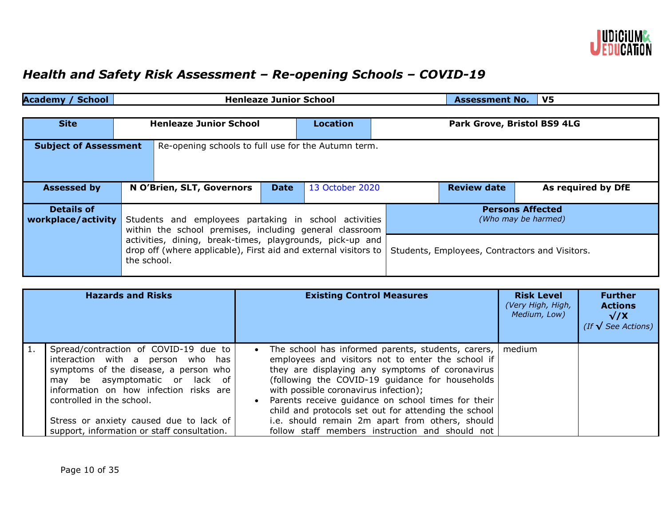

# *Health and Safety Risk Assessment – Re-opening Schools – COVID-19*

| <b>Academy / School</b>                                                             | <b>Henleaze Junior School</b>                                                                                                               |             |                 |                                                | <b>Assessment No.</b>       | V5                 |
|-------------------------------------------------------------------------------------|---------------------------------------------------------------------------------------------------------------------------------------------|-------------|-----------------|------------------------------------------------|-----------------------------|--------------------|
|                                                                                     |                                                                                                                                             |             |                 |                                                |                             |                    |
| <b>Site</b>                                                                         | <b>Henleaze Junior School</b>                                                                                                               |             | <b>Location</b> |                                                | Park Grove, Bristol BS9 4LG |                    |
| Re-opening schools to full use for the Autumn term.<br><b>Subject of Assessment</b> |                                                                                                                                             |             |                 |                                                |                             |                    |
| <b>Assessed by</b>                                                                  | N O'Brien, SLT, Governors                                                                                                                   | <b>Date</b> | 13 October 2020 |                                                | <b>Review date</b>          | As required by DfE |
| <b>Details of</b><br>workplace/activity                                             | Students and employees partaking in school activities<br>within the school premises, including general classroom                            |             |                 | <b>Persons Affected</b><br>(Who may be harmed) |                             |                    |
|                                                                                     | activities, dining, break-times, playgrounds, pick-up and<br>drop off (where applicable), First aid and external visitors to<br>the school. |             |                 | Students, Employees, Contractors and Visitors. |                             |                    |

| <b>Hazards and Risks</b>                                                                                                                                                                                                     | <b>Existing Control Measures</b>                                                                                                                                                                                                                                                                                                                                                  | <b>Risk Level</b><br>(Very High, High,<br>Medium, Low) | <b>Further</b><br><b>Actions</b><br>$\sqrt{X}$<br>(If $\sqrt{\ }$ See Actions) |
|------------------------------------------------------------------------------------------------------------------------------------------------------------------------------------------------------------------------------|-----------------------------------------------------------------------------------------------------------------------------------------------------------------------------------------------------------------------------------------------------------------------------------------------------------------------------------------------------------------------------------|--------------------------------------------------------|--------------------------------------------------------------------------------|
| Spread/contraction of COVID-19 due to<br>interaction with a person who has<br>symptoms of the disease, a person who<br>may be asymptomatic or lack of<br>information on how infection risks are<br>controlled in the school. | The school has informed parents, students, carers,<br>$\bullet$<br>employees and visitors not to enter the school if<br>they are displaying any symptoms of coronavirus<br>(following the COVID-19 guidance for households<br>with possible coronavirus infection);<br>Parents receive guidance on school times for their<br>child and protocols set out for attending the school | medium                                                 |                                                                                |
| Stress or anxiety caused due to lack of<br>support, information or staff consultation.                                                                                                                                       | i.e. should remain 2m apart from others, should<br>follow staff members instruction and should not                                                                                                                                                                                                                                                                                |                                                        |                                                                                |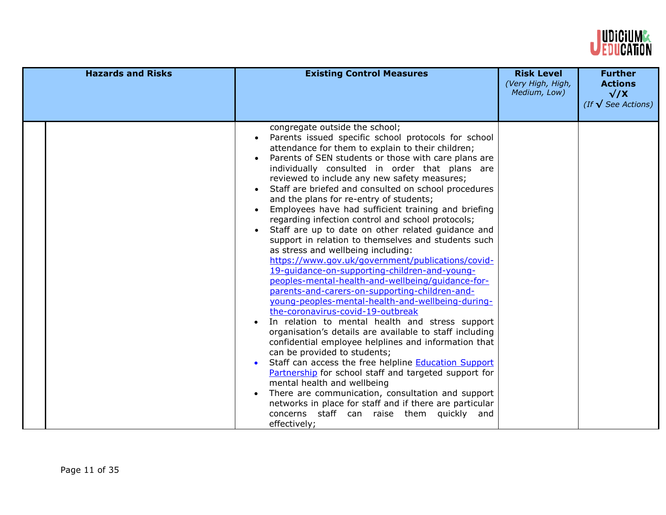

| <b>Hazards and Risks</b> | <b>Existing Control Measures</b>                                                                                                                                                                                                                                                                                                                                                                                                                                                                                                                                                                                                                                                                                                                                                                                                                                                                                                                                                                                                                                                                                                                                                                                                                                                                                                                                                                                                                                                                                                                               | <b>Risk Level</b><br>(Very High, High,<br>Medium, Low) | <b>Further</b><br><b>Actions</b><br>$\sqrt{X}$<br>(If $\sqrt{\ }$ See Actions) |
|--------------------------|----------------------------------------------------------------------------------------------------------------------------------------------------------------------------------------------------------------------------------------------------------------------------------------------------------------------------------------------------------------------------------------------------------------------------------------------------------------------------------------------------------------------------------------------------------------------------------------------------------------------------------------------------------------------------------------------------------------------------------------------------------------------------------------------------------------------------------------------------------------------------------------------------------------------------------------------------------------------------------------------------------------------------------------------------------------------------------------------------------------------------------------------------------------------------------------------------------------------------------------------------------------------------------------------------------------------------------------------------------------------------------------------------------------------------------------------------------------------------------------------------------------------------------------------------------------|--------------------------------------------------------|--------------------------------------------------------------------------------|
|                          | congregate outside the school;<br>Parents issued specific school protocols for school<br>attendance for them to explain to their children;<br>Parents of SEN students or those with care plans are<br>individually consulted in order that plans are<br>reviewed to include any new safety measures;<br>Staff are briefed and consulted on school procedures<br>and the plans for re-entry of students;<br>Employees have had sufficient training and briefing<br>$\bullet$<br>regarding infection control and school protocols;<br>Staff are up to date on other related guidance and<br>support in relation to themselves and students such<br>as stress and wellbeing including:<br>https://www.gov.uk/government/publications/covid-<br>19-quidance-on-supporting-children-and-young-<br>peoples-mental-health-and-wellbeing/quidance-for-<br>parents-and-carers-on-supporting-children-and-<br>young-peoples-mental-health-and-wellbeing-during-<br>the-coronavirus-covid-19-outbreak<br>In relation to mental health and stress support<br>$\bullet$<br>organisation's details are available to staff including<br>confidential employee helplines and information that<br>can be provided to students;<br>Staff can access the free helpline <b>Education Support</b><br>$\bullet$<br>Partnership for school staff and targeted support for<br>mental health and wellbeing<br>There are communication, consultation and support<br>networks in place for staff and if there are particular<br>concerns staff can raise them quickly and<br>effectively; |                                                        |                                                                                |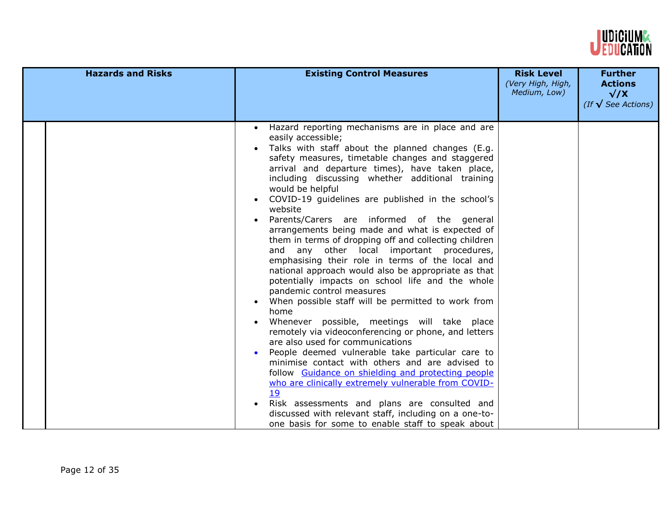

| <b>Hazards and Risks</b> | <b>Existing Control Measures</b>                                                                                                                                                                                                                                                                                                                                                                                                                                                                                                                                                                                                                                                                                                                                                                                                                                                                                                                                                                                                                                                                                                                                                                                                                                                                                                                                                                                                  | <b>Risk Level</b><br>(Very High, High,<br>Medium, Low) | <b>Further</b><br><b>Actions</b><br>$\sqrt{X}$<br>(If $\sqrt{\ }$ See Actions) |
|--------------------------|-----------------------------------------------------------------------------------------------------------------------------------------------------------------------------------------------------------------------------------------------------------------------------------------------------------------------------------------------------------------------------------------------------------------------------------------------------------------------------------------------------------------------------------------------------------------------------------------------------------------------------------------------------------------------------------------------------------------------------------------------------------------------------------------------------------------------------------------------------------------------------------------------------------------------------------------------------------------------------------------------------------------------------------------------------------------------------------------------------------------------------------------------------------------------------------------------------------------------------------------------------------------------------------------------------------------------------------------------------------------------------------------------------------------------------------|--------------------------------------------------------|--------------------------------------------------------------------------------|
|                          | Hazard reporting mechanisms are in place and are<br>$\bullet$<br>easily accessible;<br>Talks with staff about the planned changes (E.g.<br>safety measures, timetable changes and staggered<br>arrival and departure times), have taken place,<br>including discussing whether additional training<br>would be helpful<br>COVID-19 guidelines are published in the school's<br>$\bullet$<br>website<br>Parents/Carers are informed of the general<br>$\bullet$<br>arrangements being made and what is expected of<br>them in terms of dropping off and collecting children<br>and any other local important procedures,<br>emphasising their role in terms of the local and<br>national approach would also be appropriate as that<br>potentially impacts on school life and the whole<br>pandemic control measures<br>When possible staff will be permitted to work from<br>home<br>Whenever possible, meetings will take place<br>remotely via videoconferencing or phone, and letters<br>are also used for communications<br>People deemed vulnerable take particular care to<br>minimise contact with others and are advised to<br>follow Guidance on shielding and protecting people<br>who are clinically extremely vulnerable from COVID-<br>19<br>Risk assessments and plans are consulted and<br>$\bullet$<br>discussed with relevant staff, including on a one-to-<br>one basis for some to enable staff to speak about |                                                        |                                                                                |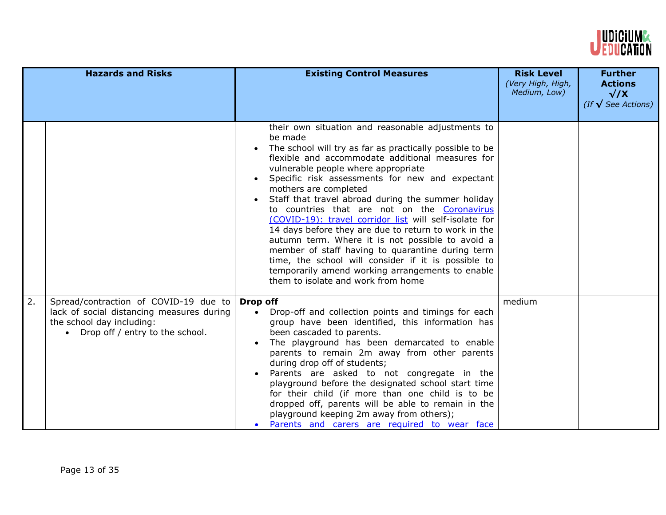

|    | <b>Hazards and Risks</b>                                                                                                                             | <b>Existing Control Measures</b>                                                                                                                                                                                                                                                                                                                                                                                                                                                                                                                                                                                                                                                                                                                                                 | <b>Risk Level</b><br>(Very High, High,<br>Medium, Low) | <b>Further</b><br><b>Actions</b><br>$\sqrt{X}$<br>(If $\sqrt{\ }$ See Actions) |
|----|------------------------------------------------------------------------------------------------------------------------------------------------------|----------------------------------------------------------------------------------------------------------------------------------------------------------------------------------------------------------------------------------------------------------------------------------------------------------------------------------------------------------------------------------------------------------------------------------------------------------------------------------------------------------------------------------------------------------------------------------------------------------------------------------------------------------------------------------------------------------------------------------------------------------------------------------|--------------------------------------------------------|--------------------------------------------------------------------------------|
|    |                                                                                                                                                      | their own situation and reasonable adjustments to<br>be made<br>The school will try as far as practically possible to be<br>flexible and accommodate additional measures for<br>vulnerable people where appropriate<br>Specific risk assessments for new and expectant<br>mothers are completed<br>Staff that travel abroad during the summer holiday<br>to countries that are not on the Coronavirus<br>(COVID-19): travel corridor list will self-isolate for<br>14 days before they are due to return to work in the<br>autumn term. Where it is not possible to avoid a<br>member of staff having to quarantine during term<br>time, the school will consider if it is possible to<br>temporarily amend working arrangements to enable<br>them to isolate and work from home |                                                        |                                                                                |
| 2. | Spread/contraction of COVID-19 due to<br>lack of social distancing measures during<br>the school day including:<br>• Drop off / entry to the school. | Drop off<br>Drop-off and collection points and timings for each<br>group have been identified, this information has<br>been cascaded to parents.<br>The playground has been demarcated to enable<br>parents to remain 2m away from other parents<br>during drop off of students;<br>Parents are asked to not congregate in the<br>playground before the designated school start time<br>for their child (if more than one child is to be<br>dropped off, parents will be able to remain in the<br>playground keeping 2m away from others);<br>Parents and carers are required to wear face                                                                                                                                                                                       | medium                                                 |                                                                                |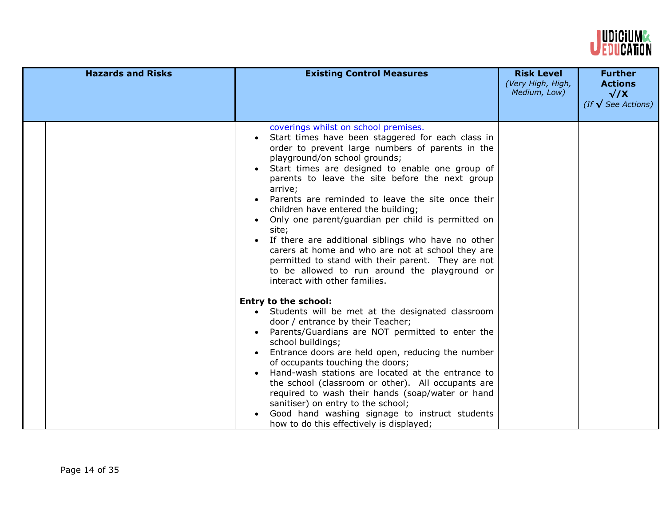

| <b>Hazards and Risks</b> | <b>Existing Control Measures</b>                                                                                                                                                                                                                                                                                                                                                                                                                                                                                                                                                                                                                                                                              | <b>Risk Level</b><br>(Very High, High,<br>Medium, Low) | <b>Further</b><br><b>Actions</b><br>$\sqrt{X}$<br>(If $\sqrt{\ }$ See Actions) |
|--------------------------|---------------------------------------------------------------------------------------------------------------------------------------------------------------------------------------------------------------------------------------------------------------------------------------------------------------------------------------------------------------------------------------------------------------------------------------------------------------------------------------------------------------------------------------------------------------------------------------------------------------------------------------------------------------------------------------------------------------|--------------------------------------------------------|--------------------------------------------------------------------------------|
|                          | coverings whilst on school premises.<br>Start times have been staggered for each class in<br>order to prevent large numbers of parents in the<br>playground/on school grounds;<br>Start times are designed to enable one group of<br>parents to leave the site before the next group<br>arrive;<br>Parents are reminded to leave the site once their<br>children have entered the building;<br>Only one parent/guardian per child is permitted on<br>site;<br>If there are additional siblings who have no other<br>carers at home and who are not at school they are<br>permitted to stand with their parent. They are not<br>to be allowed to run around the playground or<br>interact with other families. |                                                        |                                                                                |
|                          | <b>Entry to the school:</b><br>Students will be met at the designated classroom<br>door / entrance by their Teacher;<br>Parents/Guardians are NOT permitted to enter the<br>school buildings;<br>Entrance doors are held open, reducing the number<br>of occupants touching the doors;<br>Hand-wash stations are located at the entrance to<br>the school (classroom or other). All occupants are<br>required to wash their hands (soap/water or hand<br>sanitiser) on entry to the school;<br>Good hand washing signage to instruct students<br>how to do this effectively is displayed;                                                                                                                     |                                                        |                                                                                |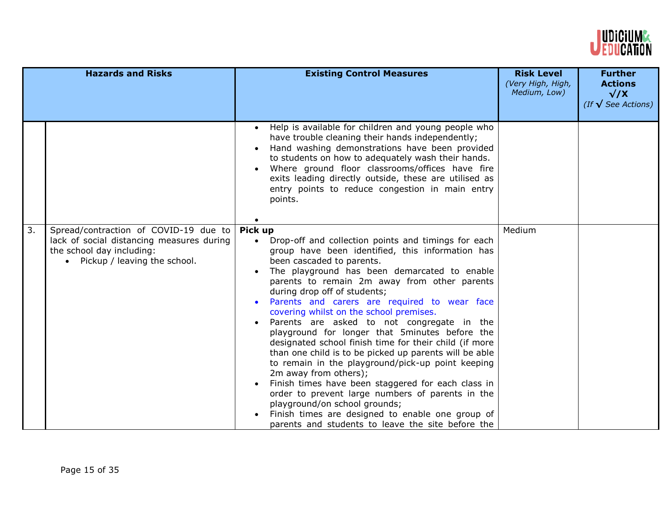

|    | <b>Hazards and Risks</b>                                                                                                                          | <b>Existing Control Measures</b>                                                                                                                                                                                                                                                                                                                                                                                                                                                                                                                                                                                                                                                                                                                                                                                                                                                                                                              | <b>Risk Level</b><br>(Very High, High,<br>Medium, Low) | <b>Further</b><br><b>Actions</b><br>$\sqrt{X}$<br>(If $\sqrt{\ }$ See Actions) |
|----|---------------------------------------------------------------------------------------------------------------------------------------------------|-----------------------------------------------------------------------------------------------------------------------------------------------------------------------------------------------------------------------------------------------------------------------------------------------------------------------------------------------------------------------------------------------------------------------------------------------------------------------------------------------------------------------------------------------------------------------------------------------------------------------------------------------------------------------------------------------------------------------------------------------------------------------------------------------------------------------------------------------------------------------------------------------------------------------------------------------|--------------------------------------------------------|--------------------------------------------------------------------------------|
|    |                                                                                                                                                   | Help is available for children and young people who<br>$\bullet$<br>have trouble cleaning their hands independently;<br>Hand washing demonstrations have been provided<br>to students on how to adequately wash their hands.<br>Where ground floor classrooms/offices have fire<br>exits leading directly outside, these are utilised as<br>entry points to reduce congestion in main entry<br>points.                                                                                                                                                                                                                                                                                                                                                                                                                                                                                                                                        |                                                        |                                                                                |
| 3. | Spread/contraction of COVID-19 due to<br>lack of social distancing measures during<br>the school day including:<br>• Pickup / leaving the school. | Pick up<br>Drop-off and collection points and timings for each<br>$\bullet$<br>group have been identified, this information has<br>been cascaded to parents.<br>The playground has been demarcated to enable<br>parents to remain 2m away from other parents<br>during drop off of students;<br>Parents and carers are required to wear face<br>covering whilst on the school premises.<br>Parents are asked to not congregate in the<br>playground for longer that 5minutes before the<br>designated school finish time for their child (if more<br>than one child is to be picked up parents will be able<br>to remain in the playground/pick-up point keeping<br>2m away from others);<br>Finish times have been staggered for each class in<br>order to prevent large numbers of parents in the<br>playground/on school grounds;<br>Finish times are designed to enable one group of<br>parents and students to leave the site before the | Medium                                                 |                                                                                |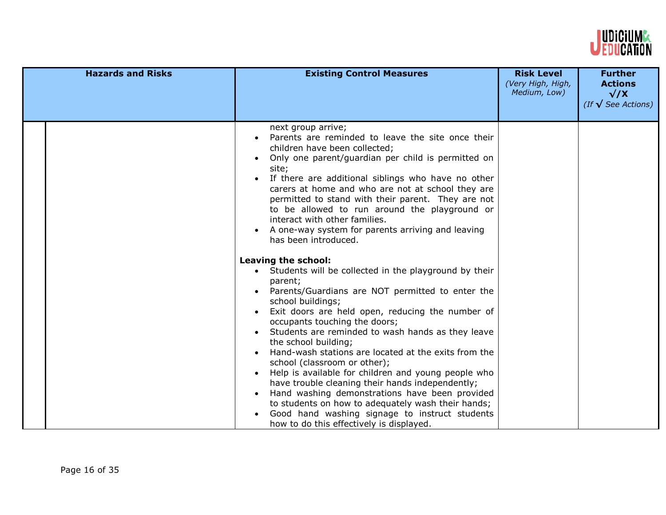

| <b>Hazards and Risks</b> | <b>Existing Control Measures</b>                                                                                                                                                                                                                                                                                                                                                                                                                                                                                                                                                                                                                                                                                                                                                                                                                                                                                                                                                                                                                                                                                                                                                                                                                         | <b>Risk Level</b><br>(Very High, High,<br>Medium, Low) | <b>Further</b><br><b>Actions</b><br>$\sqrt{X}$<br>(If $\sqrt{\ }$ See Actions) |
|--------------------------|----------------------------------------------------------------------------------------------------------------------------------------------------------------------------------------------------------------------------------------------------------------------------------------------------------------------------------------------------------------------------------------------------------------------------------------------------------------------------------------------------------------------------------------------------------------------------------------------------------------------------------------------------------------------------------------------------------------------------------------------------------------------------------------------------------------------------------------------------------------------------------------------------------------------------------------------------------------------------------------------------------------------------------------------------------------------------------------------------------------------------------------------------------------------------------------------------------------------------------------------------------|--------------------------------------------------------|--------------------------------------------------------------------------------|
|                          | next group arrive;<br>Parents are reminded to leave the site once their<br>children have been collected;<br>Only one parent/guardian per child is permitted on<br>site;<br>If there are additional siblings who have no other<br>carers at home and who are not at school they are<br>permitted to stand with their parent. They are not<br>to be allowed to run around the playground or<br>interact with other families.<br>A one-way system for parents arriving and leaving<br>has been introduced.<br>Leaving the school:<br>• Students will be collected in the playground by their<br>parent;<br>Parents/Guardians are NOT permitted to enter the<br>school buildings;<br>Exit doors are held open, reducing the number of<br>occupants touching the doors;<br>Students are reminded to wash hands as they leave<br>the school building;<br>Hand-wash stations are located at the exits from the<br>school (classroom or other);<br>Help is available for children and young people who<br>have trouble cleaning their hands independently;<br>Hand washing demonstrations have been provided<br>to students on how to adequately wash their hands;<br>Good hand washing signage to instruct students<br>how to do this effectively is displayed. |                                                        |                                                                                |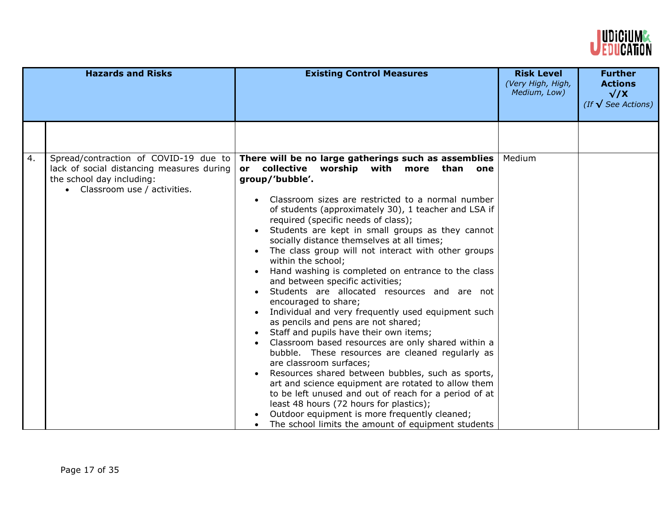

|    | <b>Hazards and Risks</b>                                                                                                                         | <b>Existing Control Measures</b>                                                                                                                                                                                                                                                                                                                                                                                                                                                                                                                                                                                                                                                                                                                                                                                                                                                                                                                                                                                                                                                                                                                                                                                                            | <b>Risk Level</b><br>(Very High, High,<br>Medium, Low) | <b>Further</b><br><b>Actions</b><br>$\sqrt{X}$<br>(If $\sqrt{\ }$ See Actions) |
|----|--------------------------------------------------------------------------------------------------------------------------------------------------|---------------------------------------------------------------------------------------------------------------------------------------------------------------------------------------------------------------------------------------------------------------------------------------------------------------------------------------------------------------------------------------------------------------------------------------------------------------------------------------------------------------------------------------------------------------------------------------------------------------------------------------------------------------------------------------------------------------------------------------------------------------------------------------------------------------------------------------------------------------------------------------------------------------------------------------------------------------------------------------------------------------------------------------------------------------------------------------------------------------------------------------------------------------------------------------------------------------------------------------------|--------------------------------------------------------|--------------------------------------------------------------------------------|
|    |                                                                                                                                                  |                                                                                                                                                                                                                                                                                                                                                                                                                                                                                                                                                                                                                                                                                                                                                                                                                                                                                                                                                                                                                                                                                                                                                                                                                                             |                                                        |                                                                                |
| 4. | Spread/contraction of COVID-19 due to<br>lack of social distancing measures during<br>the school day including:<br>• Classroom use / activities. | There will be no large gatherings such as assemblies<br>or collective worship with more than<br>one<br>group/'bubble'.<br>Classroom sizes are restricted to a normal number<br>of students (approximately 30), 1 teacher and LSA if<br>required (specific needs of class);<br>Students are kept in small groups as they cannot<br>socially distance themselves at all times;<br>The class group will not interact with other groups<br>within the school;<br>Hand washing is completed on entrance to the class<br>and between specific activities;<br>Students are allocated resources and are not<br>encouraged to share;<br>Individual and very frequently used equipment such<br>as pencils and pens are not shared;<br>Staff and pupils have their own items;<br>Classroom based resources are only shared within a<br>$\bullet$<br>bubble. These resources are cleaned regularly as<br>are classroom surfaces;<br>Resources shared between bubbles, such as sports,<br>art and science equipment are rotated to allow them<br>to be left unused and out of reach for a period of at<br>least 48 hours (72 hours for plastics);<br>Outdoor equipment is more frequently cleaned;<br>The school limits the amount of equipment students | Medium                                                 |                                                                                |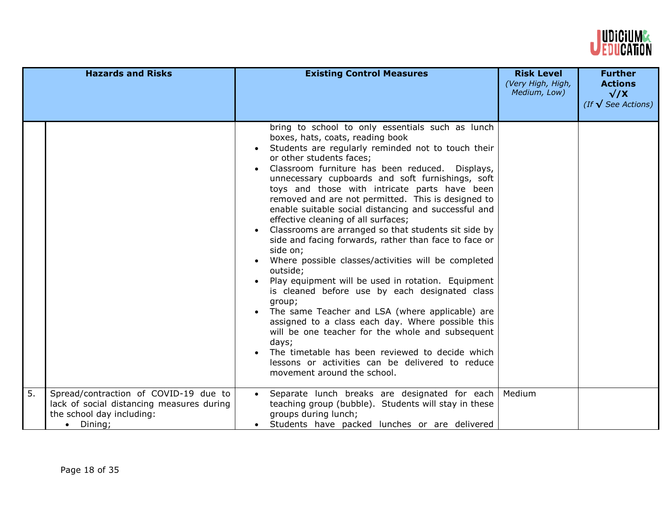

|    | <b>Hazards and Risks</b>                                                                                                             | <b>Existing Control Measures</b>                                                                                                                                                                                                                                                                                                                                                                                                                                                                                                                                                                                                                                                                                                                                                                                                                                                                                                                                                                                                                                                                                              | <b>Risk Level</b><br>(Very High, High,<br>Medium, Low) | <b>Further</b><br><b>Actions</b><br>$\sqrt{X}$<br>(If $\sqrt{\ }$ See Actions) |
|----|--------------------------------------------------------------------------------------------------------------------------------------|-------------------------------------------------------------------------------------------------------------------------------------------------------------------------------------------------------------------------------------------------------------------------------------------------------------------------------------------------------------------------------------------------------------------------------------------------------------------------------------------------------------------------------------------------------------------------------------------------------------------------------------------------------------------------------------------------------------------------------------------------------------------------------------------------------------------------------------------------------------------------------------------------------------------------------------------------------------------------------------------------------------------------------------------------------------------------------------------------------------------------------|--------------------------------------------------------|--------------------------------------------------------------------------------|
|    |                                                                                                                                      | bring to school to only essentials such as lunch<br>boxes, hats, coats, reading book<br>Students are regularly reminded not to touch their<br>or other students faces;<br>Classroom furniture has been reduced. Displays,<br>unnecessary cupboards and soft furnishings, soft<br>toys and those with intricate parts have been<br>removed and are not permitted. This is designed to<br>enable suitable social distancing and successful and<br>effective cleaning of all surfaces;<br>Classrooms are arranged so that students sit side by<br>side and facing forwards, rather than face to face or<br>side on;<br>Where possible classes/activities will be completed<br>outside;<br>Play equipment will be used in rotation. Equipment<br>is cleaned before use by each designated class<br>group;<br>The same Teacher and LSA (where applicable) are<br>$\bullet$<br>assigned to a class each day. Where possible this<br>will be one teacher for the whole and subsequent<br>days;<br>The timetable has been reviewed to decide which<br>lessons or activities can be delivered to reduce<br>movement around the school. |                                                        |                                                                                |
| 5. | Spread/contraction of COVID-19 due to<br>lack of social distancing measures during<br>the school day including:<br>$\bullet$ Dining; | Separate lunch breaks are designated for each<br>teaching group (bubble). Students will stay in these<br>groups during lunch;<br>Students have packed lunches or are delivered<br>$\bullet$                                                                                                                                                                                                                                                                                                                                                                                                                                                                                                                                                                                                                                                                                                                                                                                                                                                                                                                                   | Medium                                                 |                                                                                |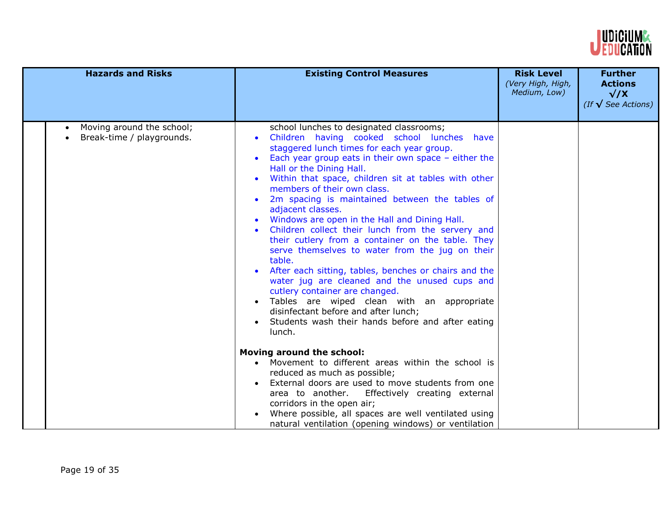

| <b>Hazards and Risks</b>                                                         | <b>Existing Control Measures</b>                                                                                                                                                                                                                                                                                                                                                                                                                                                                                                                                                                                                                                                                                                                                                                                                                                                                                  | <b>Risk Level</b><br>(Very High, High,<br>Medium, Low) | <b>Further</b><br><b>Actions</b><br>$\sqrt{X}$<br>(If $\sqrt{\ }$ See Actions) |
|----------------------------------------------------------------------------------|-------------------------------------------------------------------------------------------------------------------------------------------------------------------------------------------------------------------------------------------------------------------------------------------------------------------------------------------------------------------------------------------------------------------------------------------------------------------------------------------------------------------------------------------------------------------------------------------------------------------------------------------------------------------------------------------------------------------------------------------------------------------------------------------------------------------------------------------------------------------------------------------------------------------|--------------------------------------------------------|--------------------------------------------------------------------------------|
| Moving around the school;<br>$\bullet$<br>Break-time / playgrounds.<br>$\bullet$ | school lunches to designated classrooms;<br>Children having cooked school lunches have<br>staggered lunch times for each year group.<br>Each year group eats in their own space $-$ either the<br>Hall or the Dining Hall.<br>Within that space, children sit at tables with other<br>members of their own class.<br>2m spacing is maintained between the tables of<br>adjacent classes.<br>Windows are open in the Hall and Dining Hall.<br>Children collect their lunch from the servery and<br>their cutlery from a container on the table. They<br>serve themselves to water from the jug on their<br>table.<br>After each sitting, tables, benches or chairs and the<br>water jug are cleaned and the unused cups and<br>cutlery container are changed.<br>Tables are wiped clean with an appropriate<br>disinfectant before and after lunch;<br>Students wash their hands before and after eating<br>lunch. |                                                        |                                                                                |
|                                                                                  | Moving around the school:<br>Movement to different areas within the school is<br>reduced as much as possible;<br>External doors are used to move students from one<br>area to another.<br>Effectively creating external<br>corridors in the open air;<br>Where possible, all spaces are well ventilated using<br>natural ventilation (opening windows) or ventilation                                                                                                                                                                                                                                                                                                                                                                                                                                                                                                                                             |                                                        |                                                                                |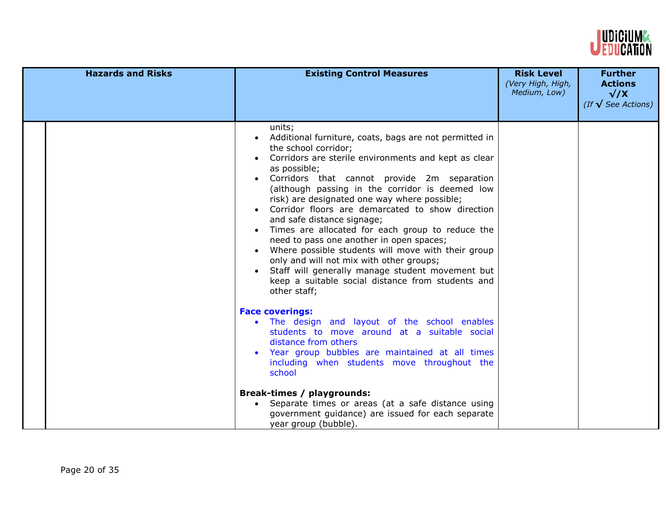

| <b>Hazards and Risks</b> | <b>Existing Control Measures</b>                                                                                                                                                                                                                                                                                                                                                                                                                                                                                                                                                                                                                                                                                                | <b>Risk Level</b><br>(Very High, High,<br>Medium, Low) | <b>Further</b><br><b>Actions</b><br>$\sqrt{X}$<br>(If $\sqrt{\ }$ See Actions) |
|--------------------------|---------------------------------------------------------------------------------------------------------------------------------------------------------------------------------------------------------------------------------------------------------------------------------------------------------------------------------------------------------------------------------------------------------------------------------------------------------------------------------------------------------------------------------------------------------------------------------------------------------------------------------------------------------------------------------------------------------------------------------|--------------------------------------------------------|--------------------------------------------------------------------------------|
|                          | units;<br>Additional furniture, coats, bags are not permitted in<br>the school corridor;<br>Corridors are sterile environments and kept as clear<br>as possible;<br>Corridors that cannot provide 2m separation<br>(although passing in the corridor is deemed low<br>risk) are designated one way where possible;<br>Corridor floors are demarcated to show direction<br>and safe distance signage;<br>Times are allocated for each group to reduce the<br>need to pass one another in open spaces;<br>Where possible students will move with their group<br>only and will not mix with other groups;<br>Staff will generally manage student movement but<br>keep a suitable social distance from students and<br>other staff; |                                                        |                                                                                |
|                          | <b>Face coverings:</b><br>The design and layout of the school enables<br>students to move around at a suitable social<br>distance from others<br>Year group bubbles are maintained at all times<br>including when students move throughout the<br>school<br>Break-times / playgrounds:<br>Separate times or areas (at a safe distance using<br>government guidance) are issued for each separate<br>year group (bubble).                                                                                                                                                                                                                                                                                                        |                                                        |                                                                                |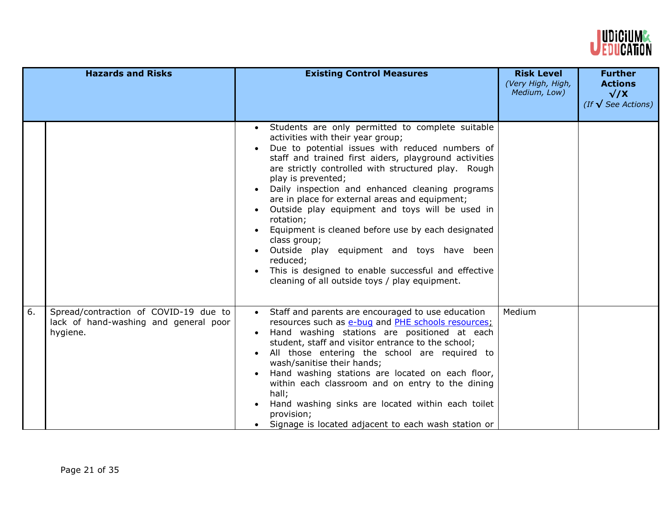

|    | <b>Hazards and Risks</b>                                                                   | <b>Existing Control Measures</b>                                                                                                                                                                                                                                                                                                                                                                                                                                                                                                                                                                                                                                                            | <b>Risk Level</b><br>(Very High, High,<br>Medium, Low) | <b>Further</b><br><b>Actions</b><br>$\sqrt{X}$<br>(If $\sqrt{\ }$ See Actions) |
|----|--------------------------------------------------------------------------------------------|---------------------------------------------------------------------------------------------------------------------------------------------------------------------------------------------------------------------------------------------------------------------------------------------------------------------------------------------------------------------------------------------------------------------------------------------------------------------------------------------------------------------------------------------------------------------------------------------------------------------------------------------------------------------------------------------|--------------------------------------------------------|--------------------------------------------------------------------------------|
|    |                                                                                            | Students are only permitted to complete suitable<br>activities with their year group;<br>Due to potential issues with reduced numbers of<br>staff and trained first aiders, playground activities<br>are strictly controlled with structured play. Rough<br>play is prevented;<br>Daily inspection and enhanced cleaning programs<br>are in place for external areas and equipment;<br>Outside play equipment and toys will be used in<br>rotation;<br>Equipment is cleaned before use by each designated<br>class group;<br>Outside play equipment and toys have been<br>reduced;<br>This is designed to enable successful and effective<br>cleaning of all outside toys / play equipment. |                                                        |                                                                                |
| 6. | Spread/contraction of COVID-19 due to<br>lack of hand-washing and general poor<br>hygiene. | Staff and parents are encouraged to use education<br>resources such as e-bug and PHE schools resources;<br>Hand washing stations are positioned at each<br>student, staff and visitor entrance to the school;<br>All those entering the school are required to<br>wash/sanitise their hands;<br>Hand washing stations are located on each floor,<br>within each classroom and on entry to the dining<br>hall;<br>Hand washing sinks are located within each toilet<br>provision;<br>Signage is located adjacent to each wash station or                                                                                                                                                     | Medium                                                 |                                                                                |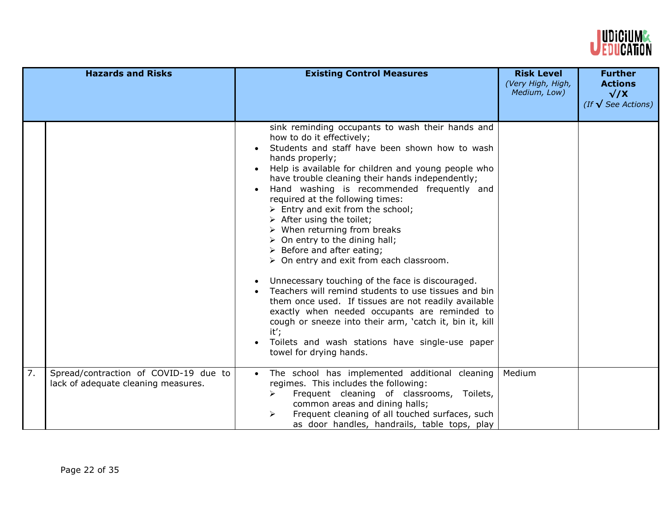

|    | <b>Hazards and Risks</b>                                                     | <b>Existing Control Measures</b>                                                                                                                                                                                                                                                                                                                                                                                                                                                                                                                                                                                                                                                                                                                                                                                                                                                                                                                                                                                              | <b>Risk Level</b><br>(Very High, High,<br>Medium, Low) | <b>Further</b><br><b>Actions</b><br>$\sqrt{X}$<br>(If $\sqrt{\ }$ See Actions) |
|----|------------------------------------------------------------------------------|-------------------------------------------------------------------------------------------------------------------------------------------------------------------------------------------------------------------------------------------------------------------------------------------------------------------------------------------------------------------------------------------------------------------------------------------------------------------------------------------------------------------------------------------------------------------------------------------------------------------------------------------------------------------------------------------------------------------------------------------------------------------------------------------------------------------------------------------------------------------------------------------------------------------------------------------------------------------------------------------------------------------------------|--------------------------------------------------------|--------------------------------------------------------------------------------|
|    |                                                                              | sink reminding occupants to wash their hands and<br>how to do it effectively;<br>Students and staff have been shown how to wash<br>hands properly;<br>Help is available for children and young people who<br>have trouble cleaning their hands independently;<br>Hand washing is recommended frequently and<br>required at the following times:<br>$\triangleright$ Entry and exit from the school;<br>$\triangleright$ After using the toilet;<br>$\triangleright$ When returning from breaks<br>$\triangleright$ On entry to the dining hall;<br>$\triangleright$ Before and after eating;<br>$\triangleright$ On entry and exit from each classroom.<br>Unnecessary touching of the face is discouraged.<br>Teachers will remind students to use tissues and bin<br>them once used. If tissues are not readily available<br>exactly when needed occupants are reminded to<br>cough or sneeze into their arm, 'catch it, bin it, kill<br>it';<br>Toilets and wash stations have single-use paper<br>towel for drying hands. |                                                        |                                                                                |
| 7. | Spread/contraction of COVID-19 due to<br>lack of adequate cleaning measures. | The school has implemented additional cleaning<br>regimes. This includes the following:<br>Frequent cleaning of classrooms, Toilets,<br>➤<br>common areas and dining halls;<br>Frequent cleaning of all touched surfaces, such<br>⋗<br>as door handles, handrails, table tops, play                                                                                                                                                                                                                                                                                                                                                                                                                                                                                                                                                                                                                                                                                                                                           | Medium                                                 |                                                                                |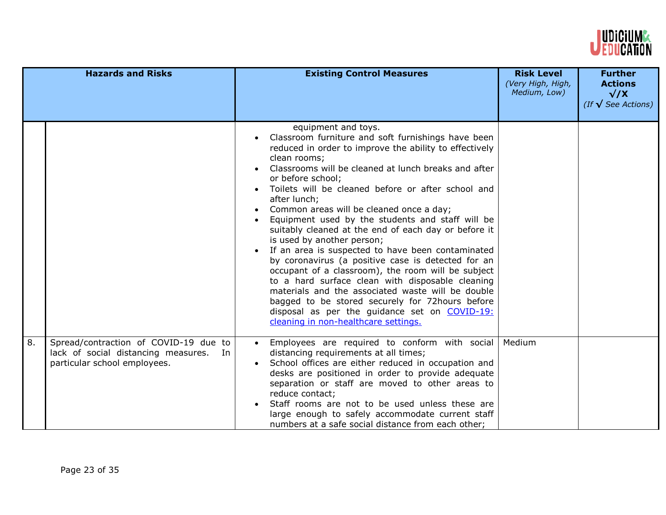

|    | <b>Hazards and Risks</b>                                                                                        | <b>Existing Control Measures</b>                                                                                                                                                                                                                                                                                                                                                                                                                                                                                                                                                                                                                                                                                                                                                                                                                                                                                   | <b>Risk Level</b><br>(Very High, High,<br>Medium, Low) | <b>Further</b><br><b>Actions</b><br>$\sqrt{X}$<br>(If $\sqrt{\ }$ See Actions) |
|----|-----------------------------------------------------------------------------------------------------------------|--------------------------------------------------------------------------------------------------------------------------------------------------------------------------------------------------------------------------------------------------------------------------------------------------------------------------------------------------------------------------------------------------------------------------------------------------------------------------------------------------------------------------------------------------------------------------------------------------------------------------------------------------------------------------------------------------------------------------------------------------------------------------------------------------------------------------------------------------------------------------------------------------------------------|--------------------------------------------------------|--------------------------------------------------------------------------------|
|    |                                                                                                                 | equipment and toys.<br>Classroom furniture and soft furnishings have been<br>reduced in order to improve the ability to effectively<br>clean rooms;<br>Classrooms will be cleaned at lunch breaks and after<br>or before school;<br>Toilets will be cleaned before or after school and<br>after lunch;<br>Common areas will be cleaned once a day;<br>Equipment used by the students and staff will be<br>suitably cleaned at the end of each day or before it<br>is used by another person;<br>If an area is suspected to have been contaminated<br>by coronavirus (a positive case is detected for an<br>occupant of a classroom), the room will be subject<br>to a hard surface clean with disposable cleaning<br>materials and the associated waste will be double<br>bagged to be stored securely for 72hours before<br>disposal as per the guidance set on COVID-19:<br>cleaning in non-healthcare settings. |                                                        |                                                                                |
| 8. | Spread/contraction of COVID-19 due to<br>lack of social distancing measures. In<br>particular school employees. | Employees are required to conform with social<br>distancing requirements at all times;<br>School offices are either reduced in occupation and<br>desks are positioned in order to provide adequate<br>separation or staff are moved to other areas to<br>reduce contact;<br>Staff rooms are not to be used unless these are<br>large enough to safely accommodate current staff<br>numbers at a safe social distance from each other;                                                                                                                                                                                                                                                                                                                                                                                                                                                                              | Medium                                                 |                                                                                |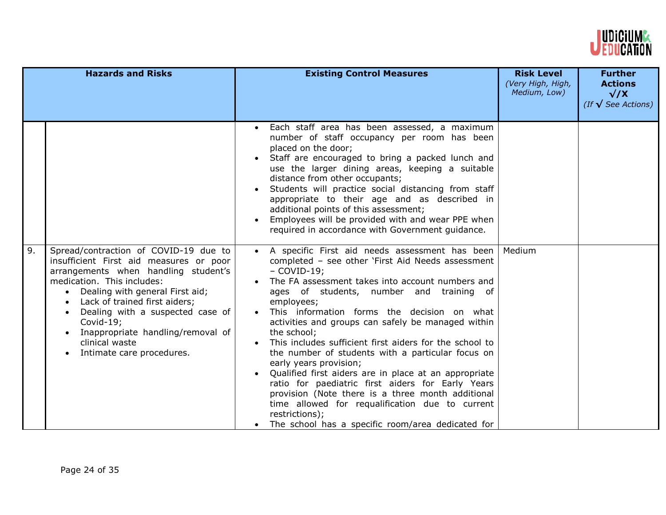

|    | <b>Hazards and Risks</b>                                                                                                                                                                                                                                                                                                                                                                  | <b>Existing Control Measures</b>                                                                                                                                                                                                                                                                                                                                                                                                                                                                                                                                                                                                                                                                                                                                                                           | <b>Risk Level</b><br>(Very High, High,<br>Medium, Low) | <b>Further</b><br><b>Actions</b><br>$\sqrt{X}$<br>(If $\sqrt{\ }$ See Actions) |
|----|-------------------------------------------------------------------------------------------------------------------------------------------------------------------------------------------------------------------------------------------------------------------------------------------------------------------------------------------------------------------------------------------|------------------------------------------------------------------------------------------------------------------------------------------------------------------------------------------------------------------------------------------------------------------------------------------------------------------------------------------------------------------------------------------------------------------------------------------------------------------------------------------------------------------------------------------------------------------------------------------------------------------------------------------------------------------------------------------------------------------------------------------------------------------------------------------------------------|--------------------------------------------------------|--------------------------------------------------------------------------------|
|    |                                                                                                                                                                                                                                                                                                                                                                                           | Each staff area has been assessed, a maximum<br>number of staff occupancy per room has been<br>placed on the door;<br>Staff are encouraged to bring a packed lunch and<br>use the larger dining areas, keeping a suitable<br>distance from other occupants;<br>Students will practice social distancing from staff<br>appropriate to their age and as described in<br>additional points of this assessment;<br>Employees will be provided with and wear PPE when<br>$\bullet$<br>required in accordance with Government guidance.                                                                                                                                                                                                                                                                          |                                                        |                                                                                |
| 9. | Spread/contraction of COVID-19 due to<br>insufficient First aid measures or poor<br>arrangements when handling student's<br>medication. This includes:<br>Dealing with general First aid;<br>$\bullet$<br>Lack of trained first aiders;<br>Dealing with a suspected case of<br>Covid-19;<br>Inappropriate handling/removal of<br>$\bullet$<br>clinical waste<br>Intimate care procedures. | A specific First aid needs assessment has been<br>completed - see other 'First Aid Needs assessment<br>$-$ COVID-19;<br>The FA assessment takes into account numbers and<br>ages of students, number and training of<br>employees;<br>This information forms the decision on what<br>activities and groups can safely be managed within<br>the school;<br>This includes sufficient first aiders for the school to<br>$\bullet$<br>the number of students with a particular focus on<br>early years provision;<br>Qualified first aiders are in place at an appropriate<br>ratio for paediatric first aiders for Early Years<br>provision (Note there is a three month additional<br>time allowed for requalification due to current<br>restrictions);<br>The school has a specific room/area dedicated for | Medium                                                 |                                                                                |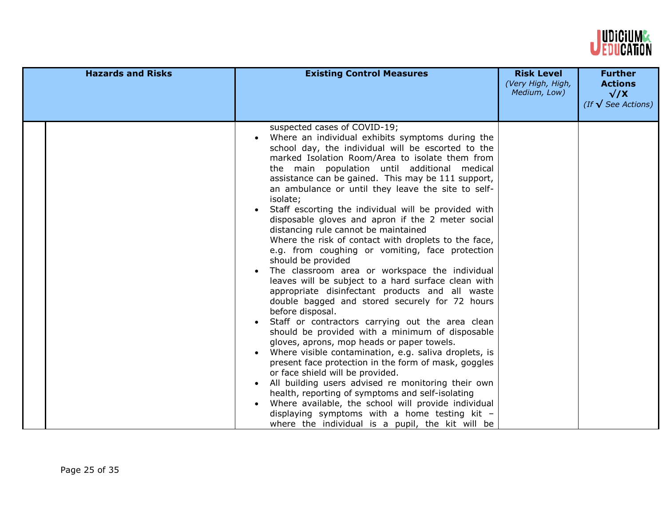

| <b>Hazards and Risks</b> | <b>Existing Control Measures</b>                                                                                                                                                                                                                                                                                                                                                                                                                                                                                                                                                                                                                                                                                                                                                                                                                                                                                                                                                                                                                                                                                                                                                                                                                                                                                                                                                                                                                                                       | <b>Risk Level</b><br>(Very High, High,<br>Medium, Low) | <b>Further</b><br><b>Actions</b><br>$\sqrt{X}$<br>(If $\sqrt{\ }$ See Actions) |
|--------------------------|----------------------------------------------------------------------------------------------------------------------------------------------------------------------------------------------------------------------------------------------------------------------------------------------------------------------------------------------------------------------------------------------------------------------------------------------------------------------------------------------------------------------------------------------------------------------------------------------------------------------------------------------------------------------------------------------------------------------------------------------------------------------------------------------------------------------------------------------------------------------------------------------------------------------------------------------------------------------------------------------------------------------------------------------------------------------------------------------------------------------------------------------------------------------------------------------------------------------------------------------------------------------------------------------------------------------------------------------------------------------------------------------------------------------------------------------------------------------------------------|--------------------------------------------------------|--------------------------------------------------------------------------------|
|                          | suspected cases of COVID-19;<br>Where an individual exhibits symptoms during the<br>school day, the individual will be escorted to the<br>marked Isolation Room/Area to isolate them from<br>the main population until additional medical<br>assistance can be gained. This may be 111 support,<br>an ambulance or until they leave the site to self-<br>isolate;<br>Staff escorting the individual will be provided with<br>disposable gloves and apron if the 2 meter social<br>distancing rule cannot be maintained<br>Where the risk of contact with droplets to the face,<br>e.g. from coughing or vomiting, face protection<br>should be provided<br>The classroom area or workspace the individual<br>leaves will be subject to a hard surface clean with<br>appropriate disinfectant products and all waste<br>double bagged and stored securely for 72 hours<br>before disposal.<br>Staff or contractors carrying out the area clean<br>should be provided with a minimum of disposable<br>gloves, aprons, mop heads or paper towels.<br>Where visible contamination, e.g. saliva droplets, is<br>$\bullet$<br>present face protection in the form of mask, goggles<br>or face shield will be provided.<br>All building users advised re monitoring their own<br>health, reporting of symptoms and self-isolating<br>Where available, the school will provide individual<br>displaying symptoms with a home testing kit -<br>where the individual is a pupil, the kit will be |                                                        |                                                                                |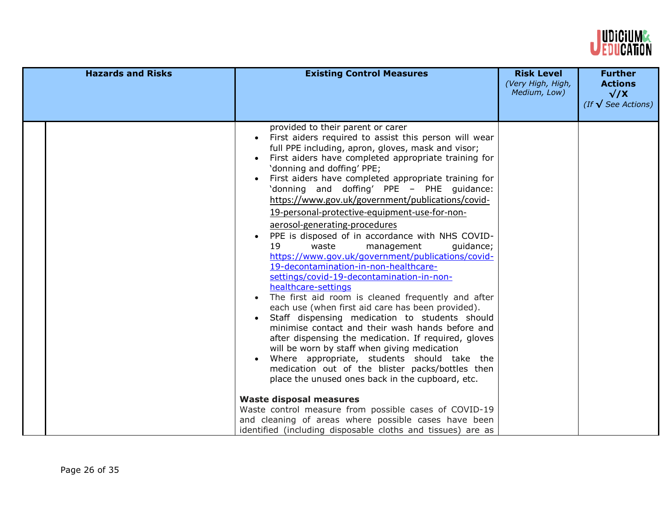

| provided to their parent or carer<br>First aiders required to assist this person will wear<br>full PPE including, apron, gloves, mask and visor;                                                                                                                                                                                                                                                                                                                                                                                                                                                                                                                                                                                                                                                                                                                                                                                                                                                                                                                                                                                                                                                                                                                                                 | <b>Hazards and Risks</b> | <b>Existing Control Measures</b> | <b>Risk Level</b><br>(Very High, High,<br>Medium, Low) | <b>Further</b><br><b>Actions</b><br>$\sqrt{X}$<br>(If $\sqrt{\ }$ See Actions) |
|--------------------------------------------------------------------------------------------------------------------------------------------------------------------------------------------------------------------------------------------------------------------------------------------------------------------------------------------------------------------------------------------------------------------------------------------------------------------------------------------------------------------------------------------------------------------------------------------------------------------------------------------------------------------------------------------------------------------------------------------------------------------------------------------------------------------------------------------------------------------------------------------------------------------------------------------------------------------------------------------------------------------------------------------------------------------------------------------------------------------------------------------------------------------------------------------------------------------------------------------------------------------------------------------------|--------------------------|----------------------------------|--------------------------------------------------------|--------------------------------------------------------------------------------|
| First aiders have completed appropriate training for<br>'donning and doffing' PPE;<br>First aiders have completed appropriate training for<br>'donning and doffing' PPE - PHE guidance:<br>https://www.gov.uk/government/publications/covid-<br>19-personal-protective-equipment-use-for-non-<br>aerosol-generating-procedures<br>PPE is disposed of in accordance with NHS COVID-<br>19<br>waste<br>management<br>guidance;<br>https://www.gov.uk/government/publications/covid-<br>19-decontamination-in-non-healthcare-<br>settings/covid-19-decontamination-in-non-<br>healthcare-settings<br>The first aid room is cleaned frequently and after<br>each use (when first aid care has been provided).<br>Staff dispensing medication to students should<br>minimise contact and their wash hands before and<br>after dispensing the medication. If required, gloves<br>will be worn by staff when giving medication<br>Where appropriate, students should take the<br>medication out of the blister packs/bottles then<br>place the unused ones back in the cupboard, etc.<br><b>Waste disposal measures</b><br>Waste control measure from possible cases of COVID-19<br>and cleaning of areas where possible cases have been<br>identified (including disposable cloths and tissues) are as |                          |                                  |                                                        |                                                                                |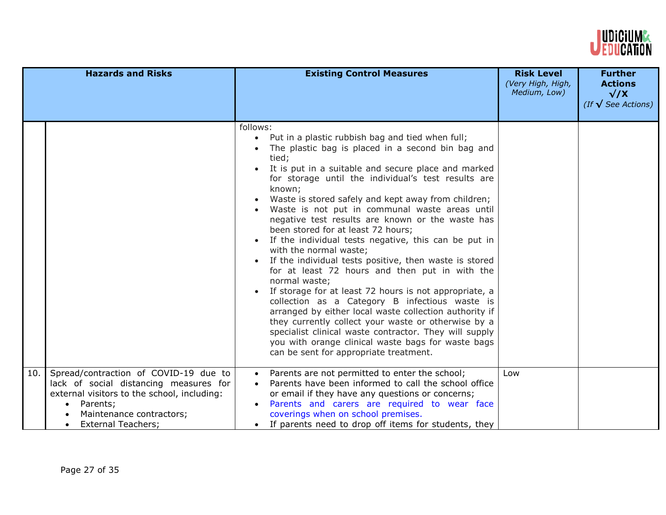

|     | <b>Hazards and Risks</b>                                                                                                                                                                                                      | <b>Existing Control Measures</b>                                                                                                                                                                                                                                                                                                                                                                                                                                                                                                                                                                                                                                                                                                                                                                                                                                                                                                                                                                                                                                                      | <b>Risk Level</b><br>(Very High, High,<br>Medium, Low) | <b>Further</b><br><b>Actions</b><br>$\sqrt{X}$<br>(If $\sqrt{\ }$ See Actions) |
|-----|-------------------------------------------------------------------------------------------------------------------------------------------------------------------------------------------------------------------------------|---------------------------------------------------------------------------------------------------------------------------------------------------------------------------------------------------------------------------------------------------------------------------------------------------------------------------------------------------------------------------------------------------------------------------------------------------------------------------------------------------------------------------------------------------------------------------------------------------------------------------------------------------------------------------------------------------------------------------------------------------------------------------------------------------------------------------------------------------------------------------------------------------------------------------------------------------------------------------------------------------------------------------------------------------------------------------------------|--------------------------------------------------------|--------------------------------------------------------------------------------|
|     |                                                                                                                                                                                                                               | follows:<br>Put in a plastic rubbish bag and tied when full;<br>The plastic bag is placed in a second bin bag and<br>tied;<br>It is put in a suitable and secure place and marked<br>for storage until the individual's test results are<br>known;<br>Waste is stored safely and kept away from children;<br>$\bullet$<br>Waste is not put in communal waste areas until<br>negative test results are known or the waste has<br>been stored for at least 72 hours;<br>If the individual tests negative, this can be put in<br>with the normal waste;<br>If the individual tests positive, then waste is stored<br>for at least 72 hours and then put in with the<br>normal waste;<br>If storage for at least 72 hours is not appropriate, a<br>$\bullet$<br>collection as a Category B infectious waste is<br>arranged by either local waste collection authority if<br>they currently collect your waste or otherwise by a<br>specialist clinical waste contractor. They will supply<br>you with orange clinical waste bags for waste bags<br>can be sent for appropriate treatment. |                                                        |                                                                                |
| 10. | Spread/contraction of COVID-19 due to<br>lack of social distancing measures for<br>external visitors to the school, including:<br>Parents;<br>$\bullet$<br>Maintenance contractors;<br><b>External Teachers;</b><br>$\bullet$ | Parents are not permitted to enter the school;<br>Parents have been informed to call the school office<br>or email if they have any questions or concerns;<br>Parents and carers are required to wear face<br>coverings when on school premises.<br>If parents need to drop off items for students, they                                                                                                                                                                                                                                                                                                                                                                                                                                                                                                                                                                                                                                                                                                                                                                              | Low                                                    |                                                                                |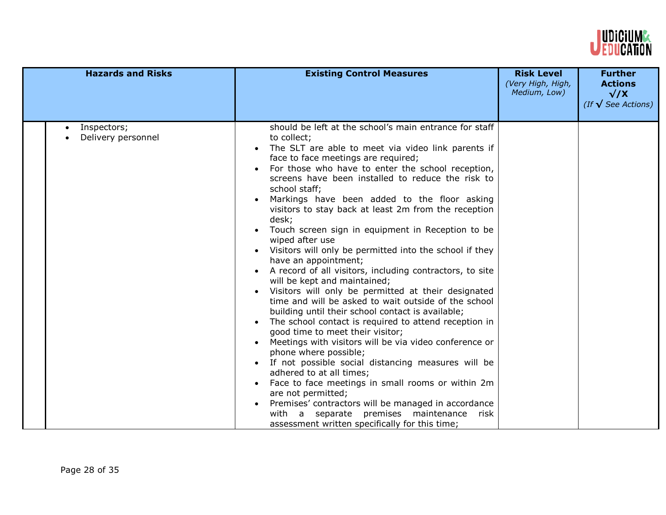

| <b>Hazards and Risks</b>                       | <b>Existing Control Measures</b>                                                                                                                                                                                                                                                                                                                                                                                                                                                                                                                                                                                                                                                                                                                                                                                                                                                                                                                                                                                                                                                                                                                                                                                                                                                                                                               | <b>Risk Level</b><br>(Very High, High,<br>Medium, Low) | <b>Further</b><br><b>Actions</b><br>$\sqrt{X}$<br>(If $\sqrt{\ }$ See Actions) |
|------------------------------------------------|------------------------------------------------------------------------------------------------------------------------------------------------------------------------------------------------------------------------------------------------------------------------------------------------------------------------------------------------------------------------------------------------------------------------------------------------------------------------------------------------------------------------------------------------------------------------------------------------------------------------------------------------------------------------------------------------------------------------------------------------------------------------------------------------------------------------------------------------------------------------------------------------------------------------------------------------------------------------------------------------------------------------------------------------------------------------------------------------------------------------------------------------------------------------------------------------------------------------------------------------------------------------------------------------------------------------------------------------|--------------------------------------------------------|--------------------------------------------------------------------------------|
| Inspectors;<br>$\bullet$<br>Delivery personnel | should be left at the school's main entrance for staff<br>to collect;<br>The SLT are able to meet via video link parents if<br>face to face meetings are required;<br>For those who have to enter the school reception,<br>screens have been installed to reduce the risk to<br>school staff;<br>Markings have been added to the floor asking<br>visitors to stay back at least 2m from the reception<br>desk;<br>Touch screen sign in equipment in Reception to be<br>wiped after use<br>Visitors will only be permitted into the school if they<br>have an appointment;<br>A record of all visitors, including contractors, to site<br>will be kept and maintained;<br>Visitors will only be permitted at their designated<br>time and will be asked to wait outside of the school<br>building until their school contact is available;<br>The school contact is required to attend reception in<br>good time to meet their visitor;<br>Meetings with visitors will be via video conference or<br>phone where possible;<br>• If not possible social distancing measures will be<br>adhered to at all times;<br>Face to face meetings in small rooms or within 2m<br>are not permitted;<br>Premises' contractors will be managed in accordance<br>with a separate premises maintenance risk<br>assessment written specifically for this time; |                                                        |                                                                                |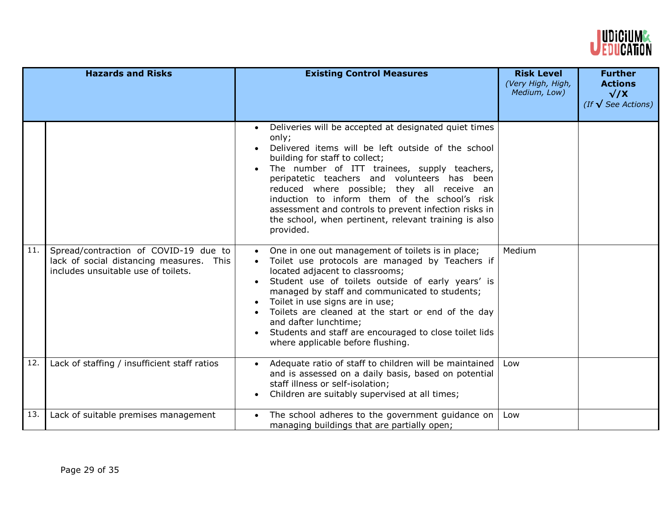

|     | <b>Hazards and Risks</b>                                                                                                 | <b>Existing Control Measures</b>                                                                                                                                                                                                                                                                                                                                                                                                                                                                                    | <b>Risk Level</b><br>(Very High, High,<br>Medium, Low) | <b>Further</b><br><b>Actions</b><br>$\sqrt{X}$<br>(If $\sqrt{\ }$ See Actions) |
|-----|--------------------------------------------------------------------------------------------------------------------------|---------------------------------------------------------------------------------------------------------------------------------------------------------------------------------------------------------------------------------------------------------------------------------------------------------------------------------------------------------------------------------------------------------------------------------------------------------------------------------------------------------------------|--------------------------------------------------------|--------------------------------------------------------------------------------|
|     |                                                                                                                          | Deliveries will be accepted at designated quiet times<br>$\bullet$<br>only;<br>Delivered items will be left outside of the school<br>building for staff to collect;<br>The number of ITT trainees, supply teachers,<br>peripatetic teachers and volunteers has been<br>reduced where possible; they all receive an<br>induction to inform them of the school's risk<br>assessment and controls to prevent infection risks in<br>the school, when pertinent, relevant training is also<br>provided.                  |                                                        |                                                                                |
| 11. | Spread/contraction of COVID-19 due to<br>lack of social distancing measures. This<br>includes unsuitable use of toilets. | One in one out management of toilets is in place;<br>$\bullet$<br>Toilet use protocols are managed by Teachers if<br>located adjacent to classrooms;<br>Student use of toilets outside of early years' is<br>managed by staff and communicated to students;<br>Toilet in use signs are in use;<br>$\bullet$<br>Toilets are cleaned at the start or end of the day<br>$\bullet$<br>and dafter lunchtime;<br>Students and staff are encouraged to close toilet lids<br>$\bullet$<br>where applicable before flushing. | Medium                                                 |                                                                                |
| 12. | Lack of staffing / insufficient staff ratios                                                                             | Adequate ratio of staff to children will be maintained<br>and is assessed on a daily basis, based on potential<br>staff illness or self-isolation;<br>Children are suitably supervised at all times;<br>$\bullet$                                                                                                                                                                                                                                                                                                   | Low                                                    |                                                                                |
| 13. | Lack of suitable premises management                                                                                     | The school adheres to the government guidance on<br>$\bullet$<br>managing buildings that are partially open;                                                                                                                                                                                                                                                                                                                                                                                                        | Low                                                    |                                                                                |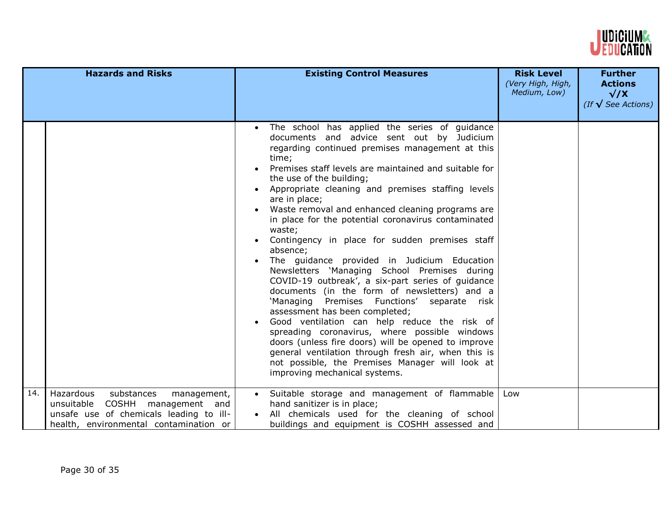

|     | <b>Hazards and Risks</b>                                                                                                                                          | <b>Existing Control Measures</b>                                                                                                                                                                                                                                                                                                                                                                                                                                                                                                                                                                                                                                                                                                                                                                                                                                                                                                                                                                                                                                                                                                    | <b>Risk Level</b><br>(Very High, High,<br>Medium, Low) | <b>Further</b><br><b>Actions</b><br>$\sqrt{X}$<br>(If $\sqrt{\ }$ See Actions) |
|-----|-------------------------------------------------------------------------------------------------------------------------------------------------------------------|-------------------------------------------------------------------------------------------------------------------------------------------------------------------------------------------------------------------------------------------------------------------------------------------------------------------------------------------------------------------------------------------------------------------------------------------------------------------------------------------------------------------------------------------------------------------------------------------------------------------------------------------------------------------------------------------------------------------------------------------------------------------------------------------------------------------------------------------------------------------------------------------------------------------------------------------------------------------------------------------------------------------------------------------------------------------------------------------------------------------------------------|--------------------------------------------------------|--------------------------------------------------------------------------------|
|     |                                                                                                                                                                   | The school has applied the series of guidance<br>$\bullet$<br>documents and advice sent out by Judicium<br>regarding continued premises management at this<br>time;<br>Premises staff levels are maintained and suitable for<br>the use of the building;<br>Appropriate cleaning and premises staffing levels<br>$\bullet$<br>are in place;<br>Waste removal and enhanced cleaning programs are<br>in place for the potential coronavirus contaminated<br>waste;<br>Contingency in place for sudden premises staff<br>$\bullet$<br>absence;<br>The guidance provided in Judicium Education<br>Newsletters 'Managing School Premises during<br>COVID-19 outbreak', a six-part series of guidance<br>documents (in the form of newsletters) and a<br>'Managing Premises Functions' separate risk<br>assessment has been completed;<br>Good ventilation can help reduce the risk of<br>spreading coronavirus, where possible windows<br>doors (unless fire doors) will be opened to improve<br>general ventilation through fresh air, when this is<br>not possible, the Premises Manager will look at<br>improving mechanical systems. |                                                        |                                                                                |
| 14. | Hazardous<br>substances<br>management,<br>COSHH management and<br>unsuitable<br>unsafe use of chemicals leading to ill-<br>health, environmental contamination or | Suitable storage and management of flammable<br>hand sanitizer is in place;<br>All chemicals used for the cleaning of school<br>buildings and equipment is COSHH assessed and                                                                                                                                                                                                                                                                                                                                                                                                                                                                                                                                                                                                                                                                                                                                                                                                                                                                                                                                                       | Low                                                    |                                                                                |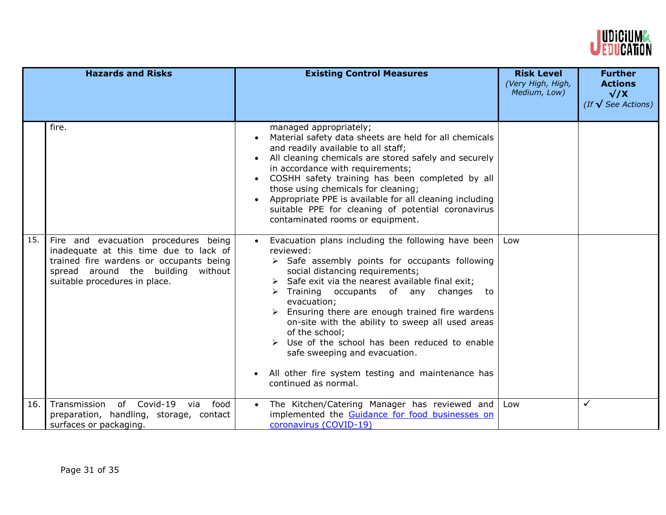

|     | <b>Hazards and Risks</b>                                                                                                                                                                         | <b>Existing Control Measures</b>                                                                                                                                                                                                                                                                                                                                                                                                                                                                                                                                                                      | <b>Risk Level</b><br>(Very High, High,<br>Medium, Low) | <b>Further</b><br><b>Actions</b><br>$\sqrt{X}$<br>(If $\sqrt{\ }$ See Actions) |
|-----|--------------------------------------------------------------------------------------------------------------------------------------------------------------------------------------------------|-------------------------------------------------------------------------------------------------------------------------------------------------------------------------------------------------------------------------------------------------------------------------------------------------------------------------------------------------------------------------------------------------------------------------------------------------------------------------------------------------------------------------------------------------------------------------------------------------------|--------------------------------------------------------|--------------------------------------------------------------------------------|
|     | fire.                                                                                                                                                                                            | managed appropriately;<br>Material safety data sheets are held for all chemicals<br>and readily available to all staff;<br>All cleaning chemicals are stored safely and securely<br>in accordance with requirements;<br>COSHH safety training has been completed by all<br>those using chemicals for cleaning;<br>Appropriate PPE is available for all cleaning including<br>$\bullet$<br>suitable PPE for cleaning of potential coronavirus<br>contaminated rooms or equipment.                                                                                                                      |                                                        |                                                                                |
| 15. | Fire and evacuation procedures being<br>inadequate at this time due to lack of<br>trained fire wardens or occupants being<br>spread around the building without<br>suitable procedures in place. | Evacuation plans including the following have been<br>reviewed:<br>$\triangleright$ Safe assembly points for occupants following<br>social distancing requirements;<br>$\triangleright$ Safe exit via the nearest available final exit;<br>Training occupants of any changes to<br>evacuation;<br>Ensuring there are enough trained fire wardens<br>on-site with the ability to sweep all used areas<br>of the school;<br>$\triangleright$ Use of the school has been reduced to enable<br>safe sweeping and evacuation.<br>All other fire system testing and maintenance has<br>continued as normal. | Low                                                    |                                                                                |
| 16. | Transmission of Covid-19 via<br>food<br>preparation, handling, storage, contact<br>surfaces or packaging.                                                                                        | The Kitchen/Catering Manager has reviewed and<br>implemented the Guidance for food businesses on<br>coronavirus (COVID-19)                                                                                                                                                                                                                                                                                                                                                                                                                                                                            | Low                                                    | $\checkmark$                                                                   |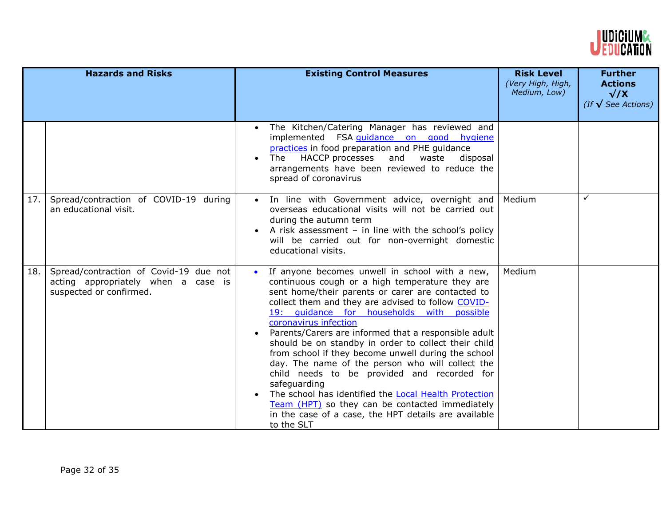

|     | <b>Hazards and Risks</b>                                                                                 | <b>Existing Control Measures</b>                                                                                                                                                                                                                                                                                                                                                                                                                                                                                                                                                                                                                                                                                                                                                         | <b>Risk Level</b><br>(Very High, High,<br>Medium, Low) | <b>Further</b><br><b>Actions</b><br>$\sqrt{X}$<br>(If $\sqrt{\ }$ See Actions) |
|-----|----------------------------------------------------------------------------------------------------------|------------------------------------------------------------------------------------------------------------------------------------------------------------------------------------------------------------------------------------------------------------------------------------------------------------------------------------------------------------------------------------------------------------------------------------------------------------------------------------------------------------------------------------------------------------------------------------------------------------------------------------------------------------------------------------------------------------------------------------------------------------------------------------------|--------------------------------------------------------|--------------------------------------------------------------------------------|
|     |                                                                                                          | The Kitchen/Catering Manager has reviewed and<br>$\bullet$<br>implemented FSA quidance on good hygiene<br>practices in food preparation and PHE quidance<br>HACCP processes and waste<br>The<br>disposal<br>$\bullet$<br>arrangements have been reviewed to reduce the<br>spread of coronavirus                                                                                                                                                                                                                                                                                                                                                                                                                                                                                          |                                                        |                                                                                |
| 17. | Spread/contraction of COVID-19 during<br>an educational visit.                                           | In line with Government advice, overnight and<br>$\bullet$<br>overseas educational visits will not be carried out<br>during the autumn term<br>A risk assessment $-$ in line with the school's policy<br>will be carried out for non-overnight domestic<br>educational visits.                                                                                                                                                                                                                                                                                                                                                                                                                                                                                                           | Medium                                                 | ✓                                                                              |
| 18. | Spread/contraction of Covid-19 due not<br>acting appropriately when a case is<br>suspected or confirmed. | If anyone becomes unwell in school with a new,<br>$\bullet$<br>continuous cough or a high temperature they are<br>sent home/their parents or carer are contacted to<br>collect them and they are advised to follow COVID-<br>19: quidance for households with possible<br>coronavirus infection<br>Parents/Carers are informed that a responsible adult<br>should be on standby in order to collect their child<br>from school if they become unwell during the school<br>day. The name of the person who will collect the<br>child needs to be provided and recorded for<br>safeguarding<br>The school has identified the Local Health Protection<br>$\bullet$<br>Team (HPT) so they can be contacted immediately<br>in the case of a case, the HPT details are available<br>to the SLT | Medium                                                 |                                                                                |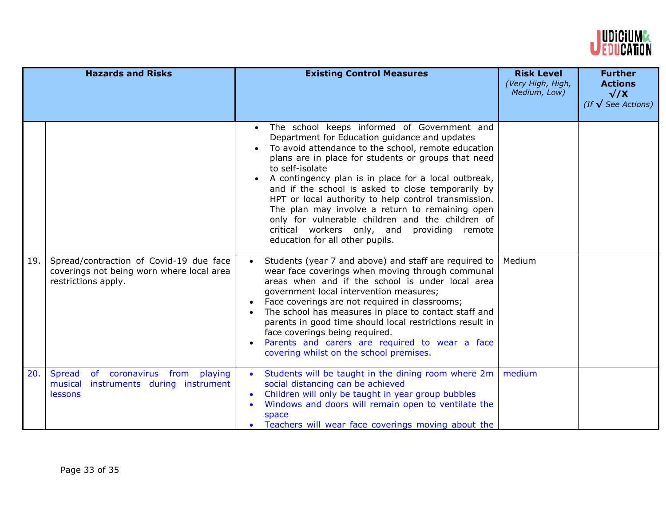

| <b>Hazards and Risks</b> |                                                                                                             | <b>Existing Control Measures</b>                                                                                                                                                                                                                                                                                                                                                                                                                                                                                                                                                                          | <b>Risk Level</b><br>(Very High, High,<br>Medium, Low) | <b>Further</b><br><b>Actions</b><br>$\sqrt{X}$<br>(If $\sqrt{\ }$ See Actions) |
|--------------------------|-------------------------------------------------------------------------------------------------------------|-----------------------------------------------------------------------------------------------------------------------------------------------------------------------------------------------------------------------------------------------------------------------------------------------------------------------------------------------------------------------------------------------------------------------------------------------------------------------------------------------------------------------------------------------------------------------------------------------------------|--------------------------------------------------------|--------------------------------------------------------------------------------|
|                          |                                                                                                             | The school keeps informed of Government and<br>$\bullet$<br>Department for Education guidance and updates<br>To avoid attendance to the school, remote education<br>plans are in place for students or groups that need<br>to self-isolate<br>A contingency plan is in place for a local outbreak,<br>and if the school is asked to close temporarily by<br>HPT or local authority to help control transmission.<br>The plan may involve a return to remaining open<br>only for vulnerable children and the children of<br>critical workers only, and providing remote<br>education for all other pupils. |                                                        |                                                                                |
| 19.                      | Spread/contraction of Covid-19 due face<br>coverings not being worn where local area<br>restrictions apply. | Students (year 7 and above) and staff are required to<br>wear face coverings when moving through communal<br>areas when and if the school is under local area<br>government local intervention measures;<br>Face coverings are not required in classrooms;<br>The school has measures in place to contact staff and<br>parents in good time should local restrictions result in<br>face coverings being required.<br>Parents and carers are required to wear a face<br>covering whilst on the school premises.                                                                                            | Medium                                                 |                                                                                |
| 20.                      | of coronavirus from<br><b>Spread</b><br>playing<br>instruments during instrument<br>musical<br>lessons      | Students will be taught in the dining room where 2m<br>social distancing can be achieved<br>Children will only be taught in year group bubbles<br>Windows and doors will remain open to ventilate the<br>space<br>Teachers will wear face coverings moving about the                                                                                                                                                                                                                                                                                                                                      | medium                                                 |                                                                                |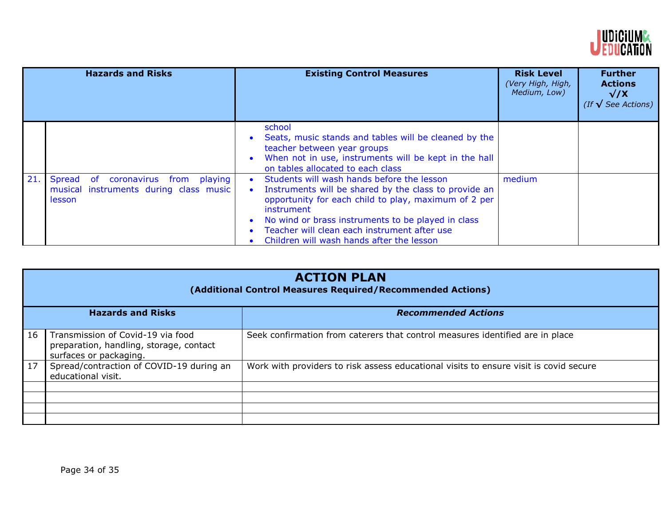

|     | <b>Hazards and Risks</b>                                                                                      | <b>Existing Control Measures</b>                                                                                                                                                                                                                                                                                             | <b>Risk Level</b><br>(Very High, High,<br>Medium, Low) | <b>Further</b><br><b>Actions</b><br>$\sqrt{X}$<br>(If $\sqrt{\ }$ See Actions) |
|-----|---------------------------------------------------------------------------------------------------------------|------------------------------------------------------------------------------------------------------------------------------------------------------------------------------------------------------------------------------------------------------------------------------------------------------------------------------|--------------------------------------------------------|--------------------------------------------------------------------------------|
|     |                                                                                                               | school<br>Seats, music stands and tables will be cleaned by the<br>teacher between year groups<br>When not in use, instruments will be kept in the hall<br>on tables allocated to each class                                                                                                                                 |                                                        |                                                                                |
| 21. | Spread<br><b>of</b><br>coronavirus from<br>playing<br>musical instruments during class music<br><b>lesson</b> | Students will wash hands before the lesson<br>Instruments will be shared by the class to provide an<br>opportunity for each child to play, maximum of 2 per<br>instrument<br>No wind or brass instruments to be played in class<br>Teacher will clean each instrument after use<br>Children will wash hands after the lesson | medium                                                 |                                                                                |

| <b>ACTION PLAN</b><br>(Additional Control Measures Required/Recommended Actions) |                                                                                                        |                                                                                       |  |  |
|----------------------------------------------------------------------------------|--------------------------------------------------------------------------------------------------------|---------------------------------------------------------------------------------------|--|--|
| <b>Hazards and Risks</b>                                                         |                                                                                                        | <b>Recommended Actions</b>                                                            |  |  |
| 16                                                                               | Transmission of Covid-19 via food<br>preparation, handling, storage, contact<br>surfaces or packaging. | Seek confirmation from caterers that control measures identified are in place         |  |  |
| 17                                                                               | Spread/contraction of COVID-19 during an<br>educational visit.                                         | Work with providers to risk assess educational visits to ensure visit is covid secure |  |  |
|                                                                                  |                                                                                                        |                                                                                       |  |  |
|                                                                                  |                                                                                                        |                                                                                       |  |  |